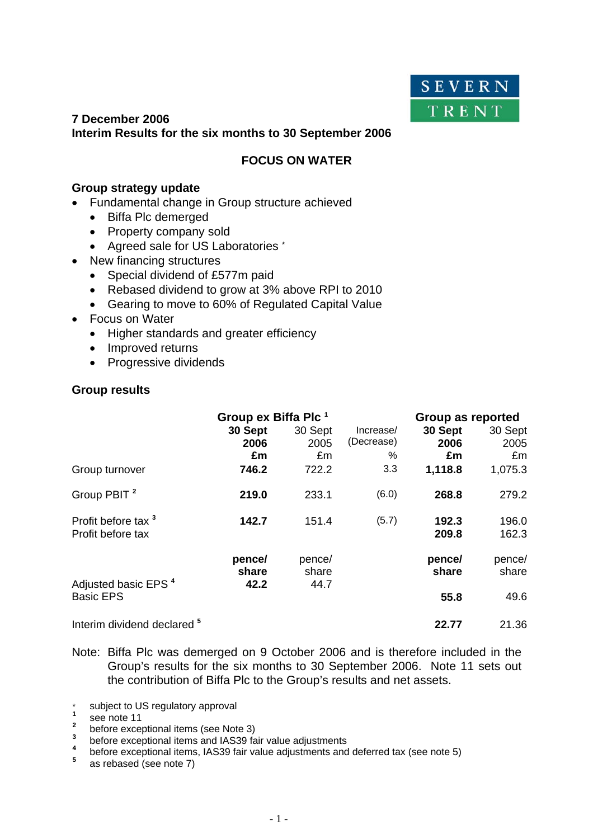

# **7 December 2006 Interim Results for the six months to 30 September 2006**

# **FOCUS ON WATER**

## **Group strategy update**

- Fundamental change in Group structure achieved
	- Biffa Plc demerged
	- Property company sold
	- Agreed sale for US Laboratories \*
- New financing structures
	- Special dividend of £577m paid
	- Rebased dividend to grow at 3% above RPI to 2010
	- Gearing to move to 60% of Regulated Capital Value
- Focus on Water
	- Higher standards and greater efficiency
	- Improved returns
	- Progressive dividends

# **Group results**

|                                                     | Group ex Biffa Plc <sup>1</sup><br>30 Sept<br>2006<br>£m | 30 Sept<br>2005<br>£m   | Increase/<br>(Decrease)<br>% | Group as reported<br>30 Sept<br>2006<br>£m | 30 Sept<br>2005<br>£m |
|-----------------------------------------------------|----------------------------------------------------------|-------------------------|------------------------------|--------------------------------------------|-----------------------|
| Group turnover                                      | 746.2                                                    | 722.2                   | 3.3                          | 1,118.8                                    | 1,075.3               |
| Group PBIT <sup>2</sup>                             | 219.0                                                    | 233.1                   | (6.0)                        | 268.8                                      | 279.2                 |
| Profit before tax <sup>3</sup><br>Profit before tax | 142.7                                                    | 151.4                   | (5.7)                        | 192.3<br>209.8                             | 196.0<br>162.3        |
| Adjusted basic EPS <sup>4</sup>                     | pence/<br>share<br>42.2                                  | pence/<br>share<br>44.7 |                              | pence/<br>share                            | pence/<br>share       |
| <b>Basic EPS</b>                                    |                                                          |                         |                              | 55.8                                       | 49.6                  |
| Interim dividend declared <sup>5</sup>              |                                                          |                         |                              | 22.77                                      | 21.36                 |

- Note: Biffa Plc was demerged on 9 October 2006 and is therefore included in the Group's results for the six months to 30 September 2006. Note 11 sets out the contribution of Biffa Plc to the Group's results and net assets.
- \* subject to US regulatory approval
- 
- <sup>1</sup> see note 11<br>
<sup>2</sup> before exceptional items (see Note 3)
- **<sup>3</sup>**before exceptional items and IAS39 fair value adjustments **<sup>4</sup>**
- <sup>4</sup> before exceptional items, IAS39 fair value adjustments and deferred tax (see note 5) <sup>5</sup>
- as rebased (see note 7)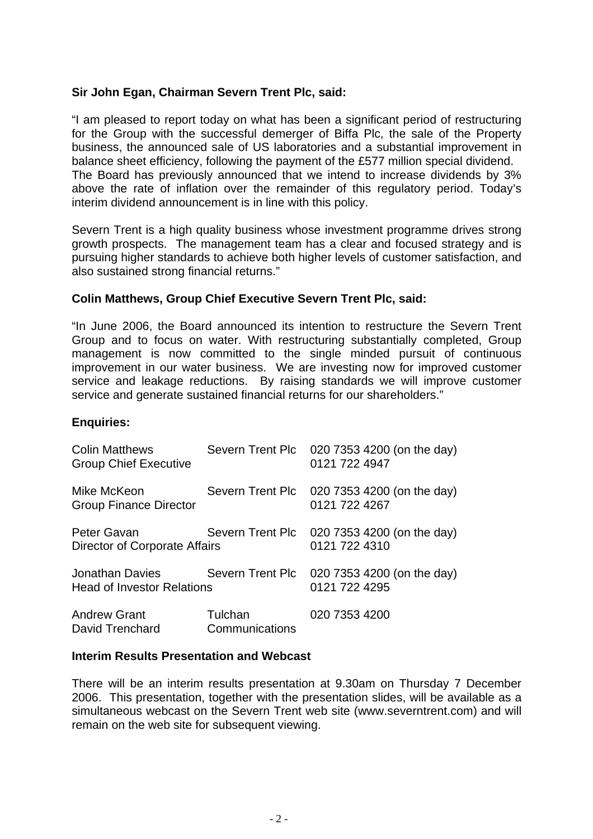# **Sir John Egan, Chairman Severn Trent Plc, said:**

"I am pleased to report today on what has been a significant period of restructuring for the Group with the successful demerger of Biffa Plc, the sale of the Property business, the announced sale of US laboratories and a substantial improvement in balance sheet efficiency, following the payment of the £577 million special dividend. The Board has previously announced that we intend to increase dividends by 3% above the rate of inflation over the remainder of this regulatory period. Today's interim dividend announcement is in line with this policy.

Severn Trent is a high quality business whose investment programme drives strong growth prospects. The management team has a clear and focused strategy and is pursuing higher standards to achieve both higher levels of customer satisfaction, and also sustained strong financial returns."

# **Colin Matthews, Group Chief Executive Severn Trent Plc, said:**

"In June 2006, the Board announced its intention to restructure the Severn Trent Group and to focus on water. With restructuring substantially completed, Group management is now committed to the single minded pursuit of continuous improvement in our water business. We are investing now for improved customer service and leakage reductions. By raising standards we will improve customer service and generate sustained financial returns for our shareholders."

#### **Enquiries:**

| <b>Colin Matthews</b><br><b>Group Chief Executive</b> |                           | Severn Trent Plc 020 7353 4200 (on the day)<br>0121 722 4947 |
|-------------------------------------------------------|---------------------------|--------------------------------------------------------------|
| Mike McKeon<br><b>Group Finance Director</b>          |                           | Severn Trent Plc 020 7353 4200 (on the day)<br>0121 722 4267 |
| Peter Gavan<br>Director of Corporate Affairs          |                           | Severn Trent Plc 020 7353 4200 (on the day)<br>0121 722 4310 |
| Jonathan Davies<br><b>Head of Investor Relations</b>  |                           | Severn Trent Plc 020 7353 4200 (on the day)<br>0121 722 4295 |
| <b>Andrew Grant</b><br>David Trenchard                | Tulchan<br>Communications | 020 7353 4200                                                |

#### **Interim Results Presentation and Webcast**

There will be an interim results presentation at 9.30am on Thursday 7 December 2006. This presentation, together with the presentation slides, will be available as a simultaneous webcast on the Severn Trent web site (www.severntrent.com) and will remain on the web site for subsequent viewing.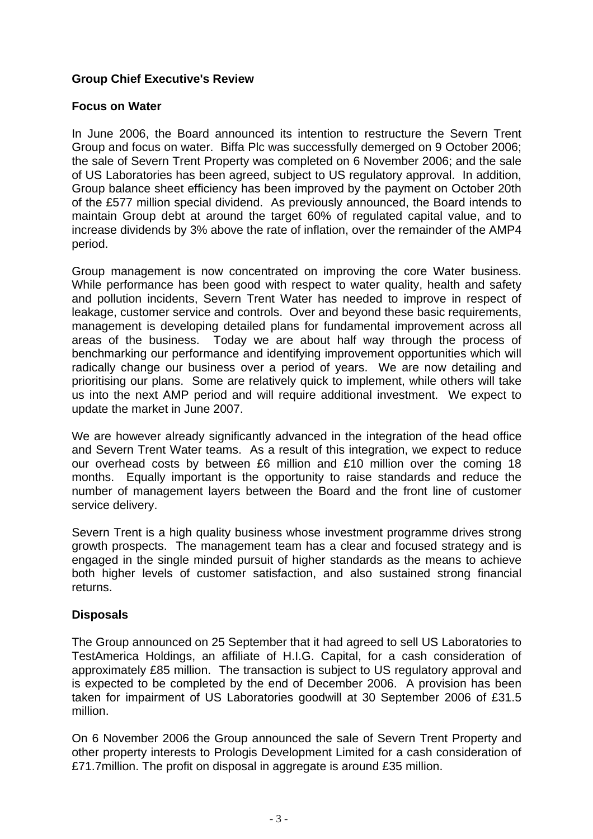# **Group Chief Executive's Review**

# **Focus on Water**

In June 2006, the Board announced its intention to restructure the Severn Trent Group and focus on water. Biffa Plc was successfully demerged on 9 October 2006; the sale of Severn Trent Property was completed on 6 November 2006; and the sale of US Laboratories has been agreed, subject to US regulatory approval. In addition, Group balance sheet efficiency has been improved by the payment on October 20th of the £577 million special dividend. As previously announced, the Board intends to maintain Group debt at around the target 60% of regulated capital value, and to increase dividends by 3% above the rate of inflation, over the remainder of the AMP4 period.

Group management is now concentrated on improving the core Water business. While performance has been good with respect to water quality, health and safety and pollution incidents, Severn Trent Water has needed to improve in respect of leakage, customer service and controls. Over and beyond these basic requirements, management is developing detailed plans for fundamental improvement across all areas of the business. Today we are about half way through the process of benchmarking our performance and identifying improvement opportunities which will radically change our business over a period of years. We are now detailing and prioritising our plans. Some are relatively quick to implement, while others will take us into the next AMP period and will require additional investment. We expect to update the market in June 2007.

We are however already significantly advanced in the integration of the head office and Severn Trent Water teams. As a result of this integration, we expect to reduce our overhead costs by between £6 million and £10 million over the coming 18 months. Equally important is the opportunity to raise standards and reduce the number of management layers between the Board and the front line of customer service delivery.

Severn Trent is a high quality business whose investment programme drives strong growth prospects. The management team has a clear and focused strategy and is engaged in the single minded pursuit of higher standards as the means to achieve both higher levels of customer satisfaction, and also sustained strong financial returns.

# **Disposals**

The Group announced on 25 September that it had agreed to sell US Laboratories to TestAmerica Holdings, an affiliate of H.I.G. Capital, for a cash consideration of approximately £85 million. The transaction is subject to US regulatory approval and is expected to be completed by the end of December 2006. A provision has been taken for impairment of US Laboratories goodwill at 30 September 2006 of £31.5 million.

On 6 November 2006 the Group announced the sale of Severn Trent Property and other property interests to Prologis Development Limited for a cash consideration of £71.7million. The profit on disposal in aggregate is around £35 million.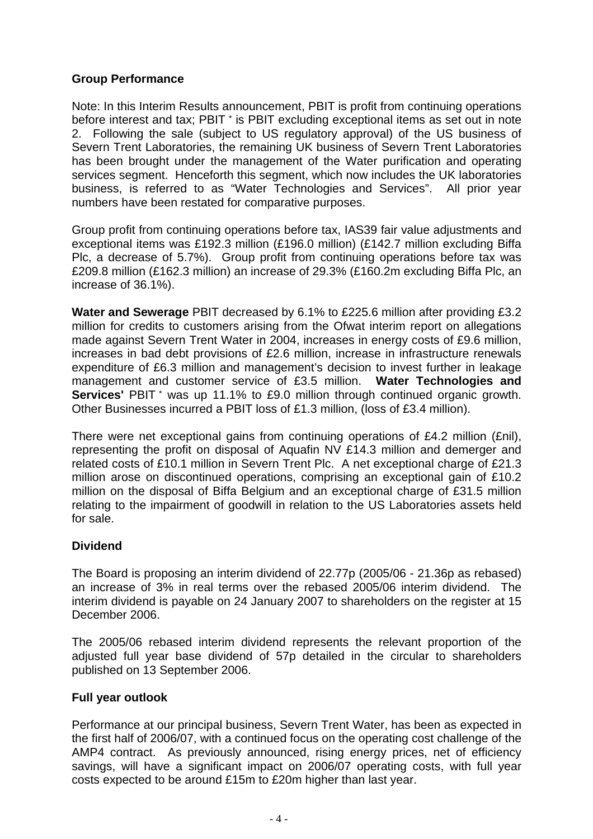# **Group Performance**

Note: In this Interim Results announcement, PBIT is profit from continuing operations before interest and tax; PBIT \* is PBIT excluding exceptional items as set out in note 2. Following the sale (subject to US regulatory approval) of the US business of Severn Trent Laboratories, the remaining UK business of Severn Trent Laboratories has been brought under the management of the Water purification and operating services segment. Henceforth this segment, which now includes the UK laboratories business, is referred to as "Water Technologies and Services". All prior year numbers have been restated for comparative purposes.

Group profit from continuing operations before tax, IAS39 fair value adjustments and exceptional items was £192.3 million (£196.0 million) (£142.7 million excluding Biffa Plc, a decrease of 5.7%). Group profit from continuing operations before tax was £209.8 million (£162.3 million) an increase of 29.3% (£160.2m excluding Biffa Plc, an increase of 36.1%).

**Water and Sewerage** PBIT decreased by 6.1% to £225.6 million after providing £3.2 million for credits to customers arising from the Ofwat interim report on allegations made against Severn Trent Water in 2004, increases in energy costs of £9.6 million, increases in bad debt provisions of £2.6 million, increase in infrastructure renewals expenditure of £6.3 million and management's decision to invest further in leakage management and customer service of £3.5 million. **Water Technologies and Services'** PBIT \* was up 11.1% to £9.0 million through continued organic growth. Other Businesses incurred a PBIT loss of £1.3 million, (loss of £3.4 million).

There were net exceptional gains from continuing operations of £4.2 million (£nil), representing the profit on disposal of Aquafin NV £14.3 million and demerger and related costs of £10.1 million in Severn Trent Plc. A net exceptional charge of £21.3 million arose on discontinued operations, comprising an exceptional gain of £10.2 million on the disposal of Biffa Belgium and an exceptional charge of £31.5 million relating to the impairment of goodwill in relation to the US Laboratories assets held for sale.

# **Dividend**

The Board is proposing an interim dividend of 22.77p (2005/06 - 21.36p as rebased) an increase of 3% in real terms over the rebased 2005/06 interim dividend. The interim dividend is payable on 24 January 2007 to shareholders on the register at 15 December 2006.

The 2005/06 rebased interim dividend represents the relevant proportion of the adjusted full year base dividend of 57p detailed in the circular to shareholders published on 13 September 2006.

# **Full year outlook**

Performance at our principal business, Severn Trent Water, has been as expected in the first half of 2006/07, with a continued focus on the operating cost challenge of the AMP4 contract. As previously announced, rising energy prices, net of efficiency savings, will have a significant impact on 2006/07 operating costs, with full year costs expected to be around £15m to £20m higher than last year.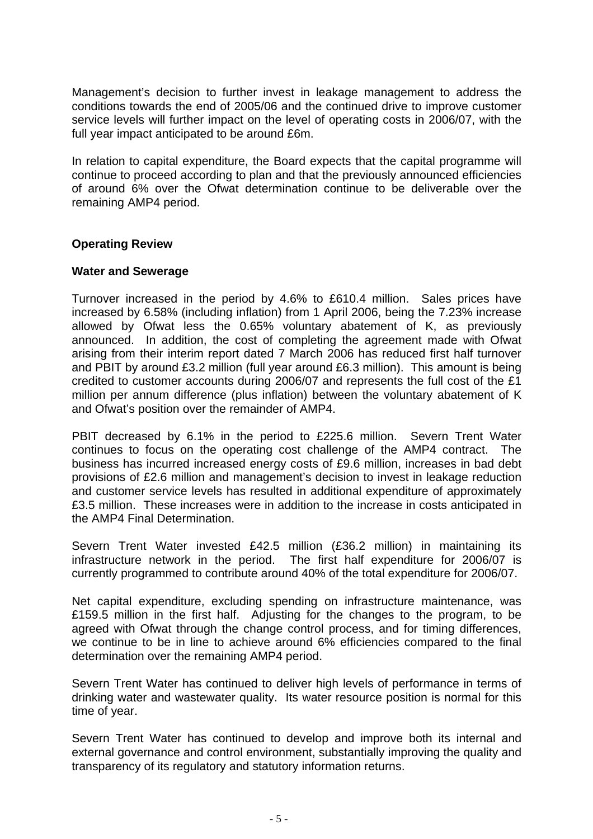Management's decision to further invest in leakage management to address the conditions towards the end of 2005/06 and the continued drive to improve customer service levels will further impact on the level of operating costs in 2006/07, with the full year impact anticipated to be around £6m.

In relation to capital expenditure, the Board expects that the capital programme will continue to proceed according to plan and that the previously announced efficiencies of around 6% over the Ofwat determination continue to be deliverable over the remaining AMP4 period.

# **Operating Review**

# **Water and Sewerage**

Turnover increased in the period by 4.6% to £610.4 million. Sales prices have increased by 6.58% (including inflation) from 1 April 2006, being the 7.23% increase allowed by Ofwat less the 0.65% voluntary abatement of K, as previously announced. In addition, the cost of completing the agreement made with Ofwat arising from their interim report dated 7 March 2006 has reduced first half turnover and PBIT by around £3.2 million (full year around £6.3 million). This amount is being credited to customer accounts during 2006/07 and represents the full cost of the £1 million per annum difference (plus inflation) between the voluntary abatement of K and Ofwat's position over the remainder of AMP4.

PBIT decreased by 6.1% in the period to £225.6 million. Severn Trent Water continues to focus on the operating cost challenge of the AMP4 contract. The business has incurred increased energy costs of £9.6 million, increases in bad debt provisions of £2.6 million and management's decision to invest in leakage reduction and customer service levels has resulted in additional expenditure of approximately £3.5 million. These increases were in addition to the increase in costs anticipated in the AMP4 Final Determination.

Severn Trent Water invested £42.5 million (£36.2 million) in maintaining its infrastructure network in the period. The first half expenditure for 2006/07 is currently programmed to contribute around 40% of the total expenditure for 2006/07.

Net capital expenditure, excluding spending on infrastructure maintenance, was £159.5 million in the first half. Adjusting for the changes to the program, to be agreed with Ofwat through the change control process, and for timing differences, we continue to be in line to achieve around 6% efficiencies compared to the final determination over the remaining AMP4 period.

Severn Trent Water has continued to deliver high levels of performance in terms of drinking water and wastewater quality. Its water resource position is normal for this time of year.

Severn Trent Water has continued to develop and improve both its internal and external governance and control environment, substantially improving the quality and transparency of its regulatory and statutory information returns.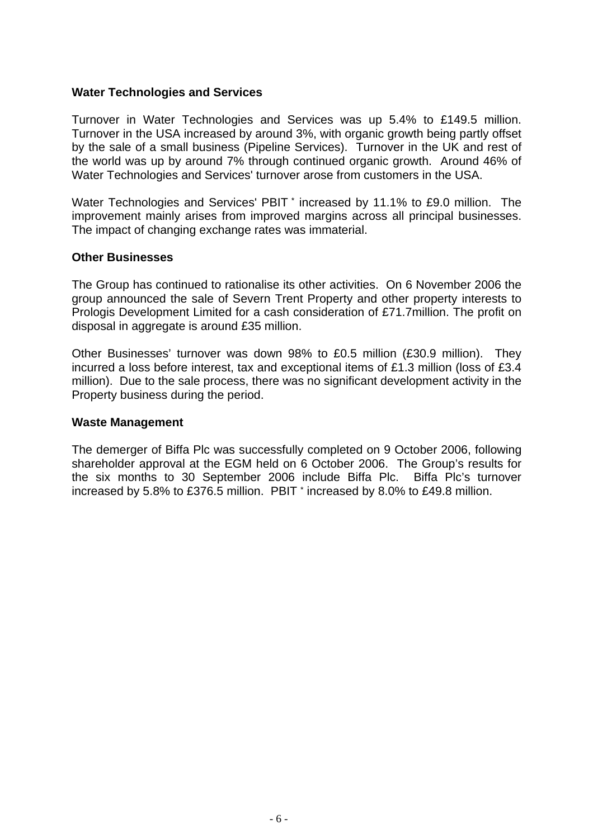# **Water Technologies and Services**

Turnover in Water Technologies and Services was up 5.4% to £149.5 million. Turnover in the USA increased by around 3%, with organic growth being partly offset by the sale of a small business (Pipeline Services). Turnover in the UK and rest of the world was up by around 7% through continued organic growth. Around 46% of Water Technologies and Services' turnover arose from customers in the USA.

Water Technologies and Services' PBIT \* increased by 11.1% to £9.0 million. The improvement mainly arises from improved margins across all principal businesses. The impact of changing exchange rates was immaterial.

#### **Other Businesses**

The Group has continued to rationalise its other activities. On 6 November 2006 the group announced the sale of Severn Trent Property and other property interests to Prologis Development Limited for a cash consideration of £71.7million. The profit on disposal in aggregate is around £35 million.

Other Businesses' turnover was down 98% to £0.5 million (£30.9 million). They incurred a loss before interest, tax and exceptional items of £1.3 million (loss of £3.4 million). Due to the sale process, there was no significant development activity in the Property business during the period.

#### **Waste Management**

The demerger of Biffa Plc was successfully completed on 9 October 2006, following shareholder approval at the EGM held on 6 October 2006. The Group's results for the six months to 30 September 2006 include Biffa Plc. Biffa Plc's turnover increased by 5.8% to £376.5 million. PBIT \* increased by 8.0% to £49.8 million.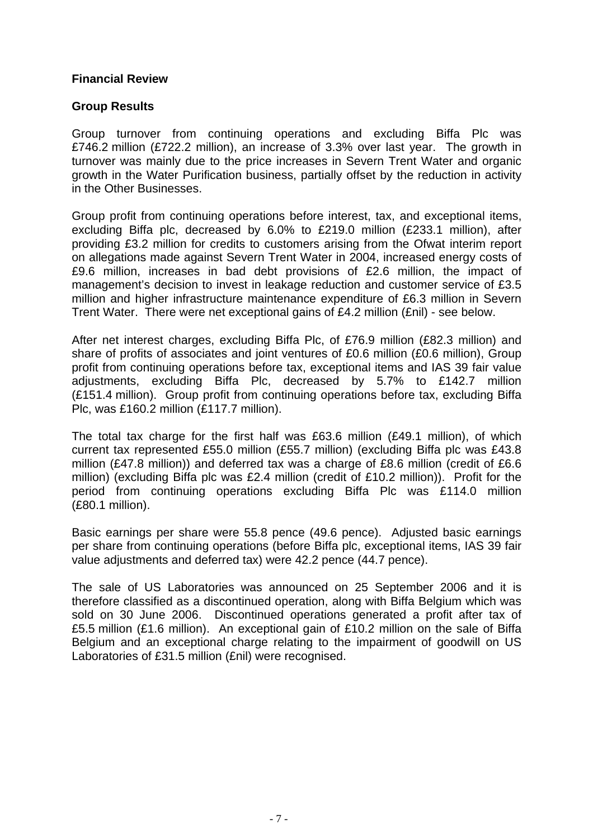# **Financial Review**

# **Group Results**

Group turnover from continuing operations and excluding Biffa Plc was £746.2 million (£722.2 million), an increase of 3.3% over last year. The growth in turnover was mainly due to the price increases in Severn Trent Water and organic growth in the Water Purification business, partially offset by the reduction in activity in the Other Businesses.

Group profit from continuing operations before interest, tax, and exceptional items, excluding Biffa plc, decreased by 6.0% to £219.0 million (£233.1 million), after providing £3.2 million for credits to customers arising from the Ofwat interim report on allegations made against Severn Trent Water in 2004, increased energy costs of £9.6 million, increases in bad debt provisions of £2.6 million, the impact of management's decision to invest in leakage reduction and customer service of £3.5 million and higher infrastructure maintenance expenditure of £6.3 million in Severn Trent Water. There were net exceptional gains of £4.2 million (£nil) - see below.

After net interest charges, excluding Biffa Plc, of £76.9 million (£82.3 million) and share of profits of associates and joint ventures of £0.6 million (£0.6 million), Group profit from continuing operations before tax, exceptional items and IAS 39 fair value adjustments, excluding Biffa Plc, decreased by 5.7% to £142.7 million (£151.4 million). Group profit from continuing operations before tax, excluding Biffa Plc, was £160.2 million (£117.7 million).

The total tax charge for the first half was £63.6 million (£49.1 million), of which current tax represented £55.0 million (£55.7 million) (excluding Biffa plc was £43.8 million (£47.8 million)) and deferred tax was a charge of £8.6 million (credit of £6.6 million) (excluding Biffa plc was £2.4 million (credit of £10.2 million)). Profit for the period from continuing operations excluding Biffa Plc was £114.0 million (£80.1 million).

Basic earnings per share were 55.8 pence (49.6 pence). Adjusted basic earnings per share from continuing operations (before Biffa plc, exceptional items, IAS 39 fair value adjustments and deferred tax) were 42.2 pence (44.7 pence).

The sale of US Laboratories was announced on 25 September 2006 and it is therefore classified as a discontinued operation, along with Biffa Belgium which was sold on 30 June 2006. Discontinued operations generated a profit after tax of £5.5 million (£1.6 million). An exceptional gain of £10.2 million on the sale of Biffa Belgium and an exceptional charge relating to the impairment of goodwill on US Laboratories of £31.5 million (£nil) were recognised.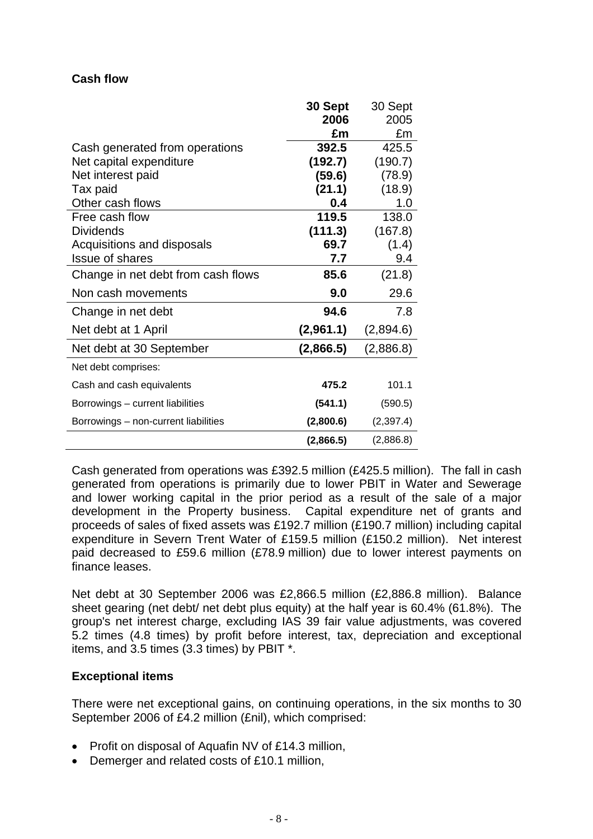# **Cash flow**

|                                      | 30 Sept   | 30 Sept   |
|--------------------------------------|-----------|-----------|
|                                      | 2006      | 2005      |
|                                      | £m        | £m        |
| Cash generated from operations       | 392.5     | 425.5     |
| Net capital expenditure              | (192.7)   | (190.7)   |
| Net interest paid                    | (59.6)    | (78.9)    |
| Tax paid                             | (21.1)    | (18.9)    |
| Other cash flows                     | 0.4       | 1.0       |
| Free cash flow                       | 119.5     | 138.0     |
| <b>Dividends</b>                     | (111.3)   | (167.8)   |
| Acquisitions and disposals           | 69.7      | (1.4)     |
| <b>Issue of shares</b>               | 7.7       | 9.4       |
| Change in net debt from cash flows   | 85.6      | (21.8)    |
| Non cash movements                   | 9.0       | 29.6      |
| Change in net debt                   | 94.6      | 7.8       |
| Net debt at 1 April                  | (2,961.1) | (2,894.6) |
| Net debt at 30 September             | (2,866.5) | (2,886.8) |
| Net debt comprises:                  |           |           |
| Cash and cash equivalents            | 475.2     | 101.1     |
| Borrowings - current liabilities     | (541.1)   | (590.5)   |
| Borrowings - non-current liabilities | (2,800.6) | (2,397.4) |
|                                      | (2,866.5) | (2,886.8) |

Cash generated from operations was £392.5 million (£425.5 million). The fall in cash generated from operations is primarily due to lower PBIT in Water and Sewerage and lower working capital in the prior period as a result of the sale of a major development in the Property business. Capital expenditure net of grants and proceeds of sales of fixed assets was £192.7 million (£190.7 million) including capital expenditure in Severn Trent Water of £159.5 million (£150.2 million). Net interest paid decreased to £59.6 million (£78.9 million) due to lower interest payments on finance leases.

Net debt at 30 September 2006 was £2,866.5 million (£2,886.8 million). Balance sheet gearing (net debt/ net debt plus equity) at the half year is 60.4% (61.8%). The group's net interest charge, excluding IAS 39 fair value adjustments, was covered 5.2 times (4.8 times) by profit before interest, tax, depreciation and exceptional items, and 3.5 times (3.3 times) by PBIT \*.

# **Exceptional items**

There were net exceptional gains, on continuing operations, in the six months to 30 September 2006 of £4.2 million (£nil), which comprised:

- Profit on disposal of Aquafin NV of £14.3 million,
- Demerger and related costs of £10.1 million,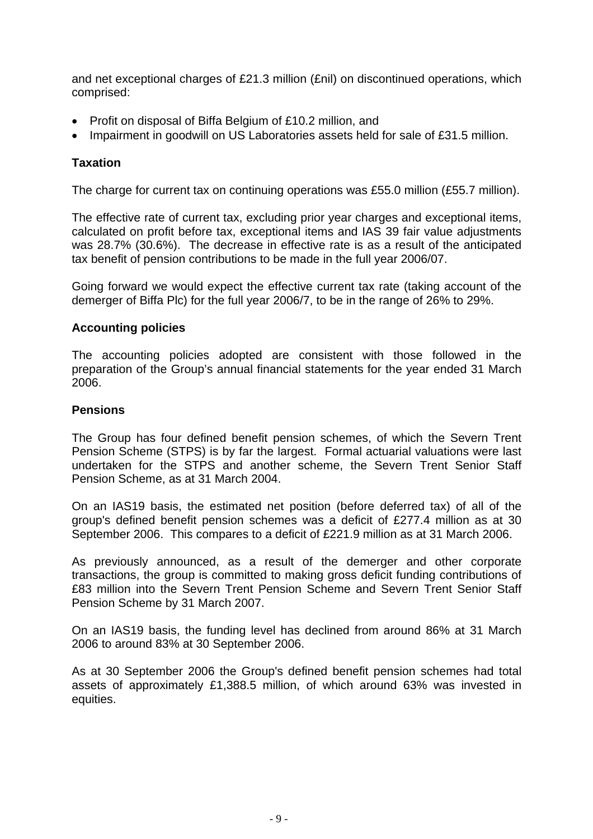and net exceptional charges of £21.3 million (£nil) on discontinued operations, which comprised:

- Profit on disposal of Biffa Belgium of £10.2 million, and
- Impairment in goodwill on US Laboratories assets held for sale of £31.5 million.

# **Taxation**

The charge for current tax on continuing operations was £55.0 million (£55.7 million).

The effective rate of current tax, excluding prior year charges and exceptional items, calculated on profit before tax, exceptional items and IAS 39 fair value adjustments was 28.7% (30.6%). The decrease in effective rate is as a result of the anticipated tax benefit of pension contributions to be made in the full year 2006/07.

Going forward we would expect the effective current tax rate (taking account of the demerger of Biffa Plc) for the full year 2006/7, to be in the range of 26% to 29%.

# **Accounting policies**

The accounting policies adopted are consistent with those followed in the preparation of the Group's annual financial statements for the year ended 31 March 2006.

# **Pensions**

The Group has four defined benefit pension schemes, of which the Severn Trent Pension Scheme (STPS) is by far the largest. Formal actuarial valuations were last undertaken for the STPS and another scheme, the Severn Trent Senior Staff Pension Scheme, as at 31 March 2004.

On an IAS19 basis, the estimated net position (before deferred tax) of all of the group's defined benefit pension schemes was a deficit of £277.4 million as at 30 September 2006. This compares to a deficit of £221.9 million as at 31 March 2006.

As previously announced, as a result of the demerger and other corporate transactions, the group is committed to making gross deficit funding contributions of £83 million into the Severn Trent Pension Scheme and Severn Trent Senior Staff Pension Scheme by 31 March 2007.

On an IAS19 basis, the funding level has declined from around 86% at 31 March 2006 to around 83% at 30 September 2006.

As at 30 September 2006 the Group's defined benefit pension schemes had total assets of approximately £1,388.5 million, of which around 63% was invested in equities.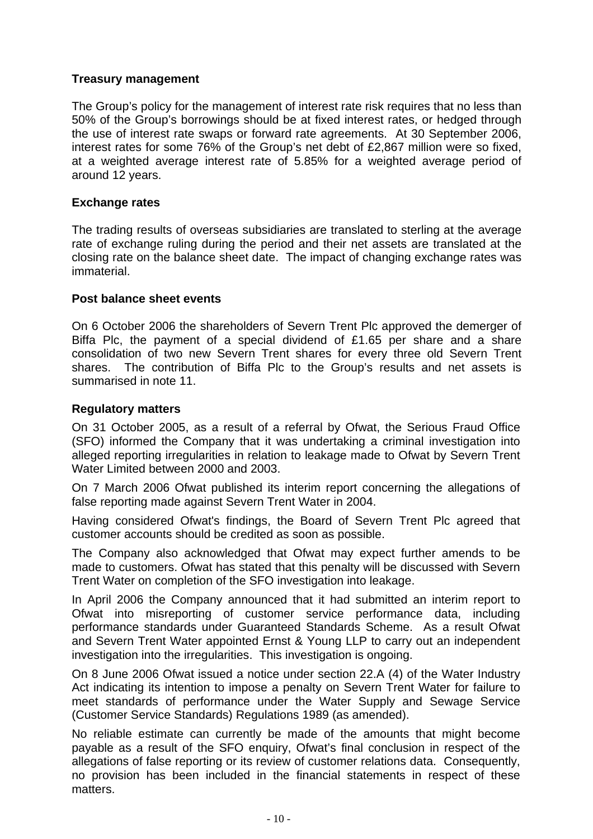# **Treasury management**

The Group's policy for the management of interest rate risk requires that no less than 50% of the Group's borrowings should be at fixed interest rates, or hedged through the use of interest rate swaps or forward rate agreements. At 30 September 2006, interest rates for some 76% of the Group's net debt of £2,867 million were so fixed, at a weighted average interest rate of 5.85% for a weighted average period of around 12 years.

# **Exchange rates**

The trading results of overseas subsidiaries are translated to sterling at the average rate of exchange ruling during the period and their net assets are translated at the closing rate on the balance sheet date. The impact of changing exchange rates was immaterial.

# **Post balance sheet events**

On 6 October 2006 the shareholders of Severn Trent Plc approved the demerger of Biffa Plc, the payment of a special dividend of £1.65 per share and a share consolidation of two new Severn Trent shares for every three old Severn Trent shares. The contribution of Biffa Plc to the Group's results and net assets is summarised in note 11.

# **Regulatory matters**

On 31 October 2005, as a result of a referral by Ofwat, the Serious Fraud Office (SFO) informed the Company that it was undertaking a criminal investigation into alleged reporting irregularities in relation to leakage made to Ofwat by Severn Trent Water Limited between 2000 and 2003.

On 7 March 2006 Ofwat published its interim report concerning the allegations of false reporting made against Severn Trent Water in 2004.

Having considered Ofwat's findings, the Board of Severn Trent Plc agreed that customer accounts should be credited as soon as possible.

The Company also acknowledged that Ofwat may expect further amends to be made to customers. Ofwat has stated that this penalty will be discussed with Severn Trent Water on completion of the SFO investigation into leakage.

In April 2006 the Company announced that it had submitted an interim report to Ofwat into misreporting of customer service performance data, including performance standards under Guaranteed Standards Scheme. As a result Ofwat and Severn Trent Water appointed Ernst & Young LLP to carry out an independent investigation into the irregularities. This investigation is ongoing.

On 8 June 2006 Ofwat issued a notice under section 22.A (4) of the Water Industry Act indicating its intention to impose a penalty on Severn Trent Water for failure to meet standards of performance under the Water Supply and Sewage Service (Customer Service Standards) Regulations 1989 (as amended).

No reliable estimate can currently be made of the amounts that might become payable as a result of the SFO enquiry, Ofwat's final conclusion in respect of the allegations of false reporting or its review of customer relations data. Consequently, no provision has been included in the financial statements in respect of these matters.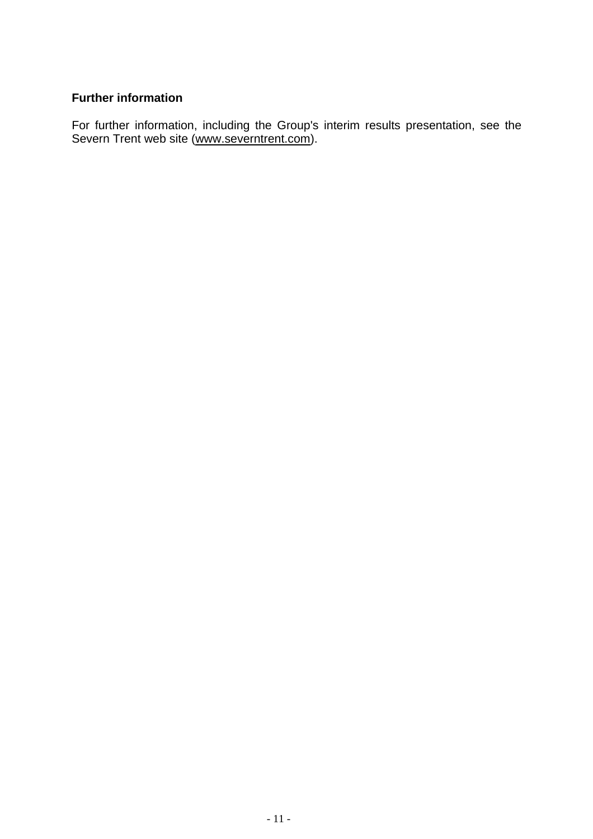# **Further information**

For further information, including the Group's interim results presentation, see the Severn Trent web site (www.severntrent.com).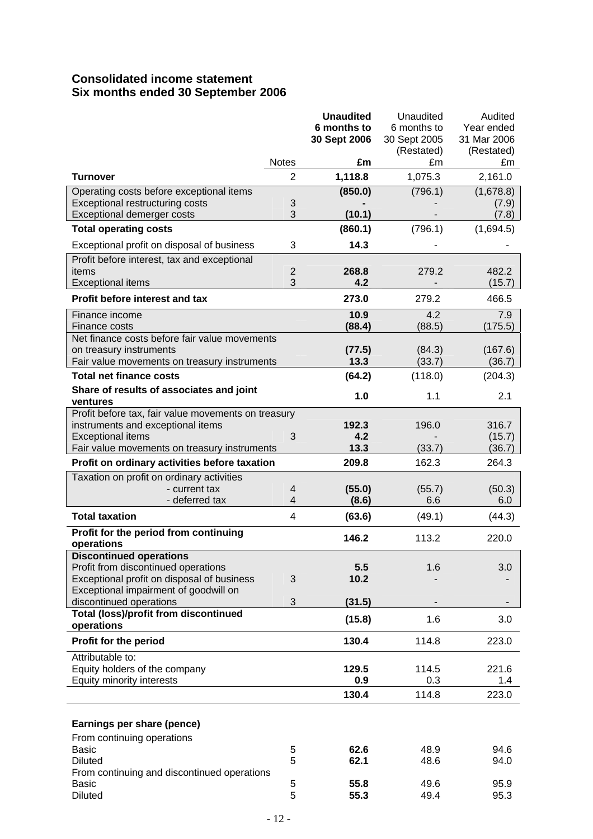# **Consolidated income statement Six months ended 30 September 2006**

|                                                            |                         | <b>Unaudited</b> | Unaudited    | Audited     |
|------------------------------------------------------------|-------------------------|------------------|--------------|-------------|
|                                                            |                         | 6 months to      | 6 months to  | Year ended  |
|                                                            |                         | 30 Sept 2006     | 30 Sept 2005 | 31 Mar 2006 |
|                                                            |                         |                  | (Restated)   | (Restated)  |
|                                                            | <b>Notes</b>            | £m               | £m           | £m          |
| <b>Turnover</b>                                            | $\overline{2}$          | 1,118.8          | 1,075.3      | 2,161.0     |
| Operating costs before exceptional items                   |                         | (850.0)          | (796.1)      | (1,678.8)   |
| Exceptional restructuring costs                            | 3                       |                  |              | (7.9)       |
| Exceptional demerger costs                                 | 3                       | (10.1)           |              | (7.8)       |
| <b>Total operating costs</b>                               |                         | (860.1)          | (796.1)      | (1,694.5)   |
| Exceptional profit on disposal of business                 | 3                       | 14.3             |              |             |
| Profit before interest, tax and exceptional                |                         |                  |              |             |
| items                                                      | $\overline{2}$          | 268.8            | 279.2        | 482.2       |
| <b>Exceptional items</b>                                   | 3                       | 4.2              |              | (15.7)      |
| Profit before interest and tax                             |                         | 273.0            | 279.2        | 466.5       |
| Finance income                                             |                         | 10.9             | 4.2          | 7.9         |
| Finance costs                                              |                         | (88.4)           | (88.5)       | (175.5)     |
| Net finance costs before fair value movements              |                         |                  |              |             |
| on treasury instruments                                    |                         | (77.5)           | (84.3)       | (167.6)     |
| Fair value movements on treasury instruments               |                         | 13.3             | (33.7)       | (36.7)      |
| <b>Total net finance costs</b>                             |                         | (64.2)           | (118.0)      | (204.3)     |
| Share of results of associates and joint                   |                         | 1.0              | 1.1          | 2.1         |
| ventures                                                   |                         |                  |              |             |
| Profit before tax, fair value movements on treasury        |                         |                  |              |             |
| instruments and exceptional items                          |                         | 192.3            | 196.0        | 316.7       |
| <b>Exceptional items</b>                                   | 3                       | 4.2              |              | (15.7)      |
| Fair value movements on treasury instruments               |                         | 13.3             | (33.7)       | (36.7)      |
| Profit on ordinary activities before taxation              |                         | 209.8            | 162.3        | 264.3       |
| Taxation on profit on ordinary activities                  |                         |                  |              |             |
| - current tax                                              | 4                       | (55.0)           | (55.7)       | (50.3)      |
| - deferred tax                                             | $\overline{\mathbf{4}}$ | (8.6)            | 6.6          | 6.0         |
| <b>Total taxation</b>                                      | 4                       | (63.6)           | (49.1)       | (44.3)      |
| Profit for the period from continuing                      |                         | 146.2            | 113.2        | 220.0       |
| operations                                                 |                         |                  |              |             |
| <b>Discontinued operations</b>                             |                         |                  |              |             |
| Profit from discontinued operations                        |                         | 5.5              | 1.6          | 3.0         |
| Exceptional profit on disposal of business                 | 3                       | 10.2             |              |             |
| Exceptional impairment of goodwill on                      |                         |                  |              |             |
| discontinued operations                                    | 3                       | (31.5)           |              |             |
| <b>Total (loss)/profit from discontinued</b><br>operations |                         | (15.8)           | 1.6          | 3.0         |
| Profit for the period                                      |                         | 130.4            | 114.8        | 223.0       |
| Attributable to:                                           |                         |                  |              |             |
| Equity holders of the company                              |                         | 129.5            | 114.5        | 221.6       |
| Equity minority interests                                  |                         | 0.9              | 0.3          | 1.4         |
|                                                            |                         | 130.4            | 114.8        | 223.0       |
|                                                            |                         |                  |              |             |
| Earnings per share (pence)                                 |                         |                  |              |             |
| From continuing operations                                 |                         |                  |              |             |
| <b>Basic</b>                                               | 5                       | 62.6             | 48.9         | 94.6        |
| <b>Diluted</b>                                             | 5                       | 62.1             | 48.6         | 94.0        |
| From continuing and discontinued operations                |                         |                  |              |             |
| <b>Basic</b>                                               | 5                       | 55.8             | 49.6         | 95.9        |
| <b>Diluted</b>                                             | 5                       | 55.3             | 49.4         | 95.3        |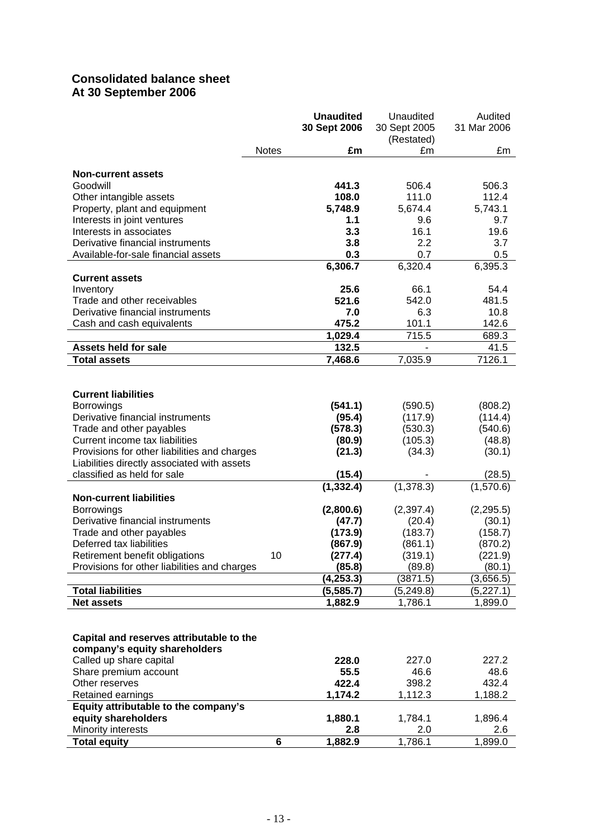# **Consolidated balance sheet At 30 September 2006**

|                                               |              | <b>Unaudited</b><br>30 Sept 2006 | Unaudited<br>30 Sept 2005 | Audited<br>31 Mar 2006 |
|-----------------------------------------------|--------------|----------------------------------|---------------------------|------------------------|
|                                               |              |                                  | (Restated)                |                        |
|                                               | <b>Notes</b> | £m                               | £m                        | £m                     |
| <b>Non-current assets</b>                     |              |                                  |                           |                        |
| Goodwill                                      |              | 441.3                            | 506.4                     | 506.3                  |
| Other intangible assets                       |              | 108.0                            | 111.0                     | 112.4                  |
| Property, plant and equipment                 |              | 5,748.9                          | 5,674.4                   | 5,743.1                |
| Interests in joint ventures                   |              | 1.1                              | 9.6                       | 9.7                    |
| Interests in associates                       |              | 3.3                              | 16.1                      | 19.6                   |
| Derivative financial instruments              |              | 3.8                              | 2.2                       | 3.7                    |
| Available-for-sale financial assets           |              | 0.3                              | 0.7                       | 0.5                    |
|                                               |              | 6,306.7                          | 6,320.4                   | 6,395.3                |
| <b>Current assets</b>                         |              |                                  |                           |                        |
| Inventory                                     |              | 25.6                             | 66.1                      | 54.4                   |
| Trade and other receivables                   |              | 521.6                            | 542.0                     | 481.5                  |
| Derivative financial instruments              |              | 7.0                              | 6.3                       | 10.8                   |
| Cash and cash equivalents                     |              | 475.2                            | 101.1                     | 142.6                  |
|                                               |              | 1,029.4                          | 715.5                     | 689.3                  |
| <b>Assets held for sale</b>                   |              | 132.5                            | ä,                        | 41.5                   |
| <b>Total assets</b>                           |              | 7,468.6                          | 7,035.9                   | 7126.1                 |
|                                               |              |                                  |                           |                        |
| <b>Current liabilities</b>                    |              |                                  |                           |                        |
| Borrowings                                    |              | (541.1)                          | (590.5)                   | (808.2)                |
| Derivative financial instruments              |              | (95.4)                           | (117.9)                   | (114.4)                |
| Trade and other payables                      |              | (578.3)                          | (530.3)                   | (540.6)                |
| Current income tax liabilities                |              | (80.9)                           | (105.3)                   | (48.8)                 |
| Provisions for other liabilities and charges  |              | (21.3)                           | (34.3)                    | (30.1)                 |
| Liabilities directly associated with assets   |              |                                  |                           |                        |
| classified as held for sale                   |              | (15.4)                           |                           | (28.5)                 |
|                                               |              | (1, 332.4)                       | (1,378.3)                 | (1,570.6)              |
| <b>Non-current liabilities</b>                |              |                                  |                           |                        |
| <b>Borrowings</b>                             |              | (2,800.6)                        | (2,397.4)                 | (2, 295.5)             |
| Derivative financial instruments              |              | (47.7)                           | (20.4)                    | (30.1)                 |
| Trade and other payables                      |              | (173.9)                          | (183.7)                   | (158.7)                |
| Deferred tax liabilities                      |              | (867.9)                          | (861.1)                   | (870.2)                |
| Retirement benefit obligations                | 10           | (277.4)                          | (319.1)                   | (221.9)                |
| Provisions for other liabilities and charges  |              | (85.8)                           | (89.8)                    | (80.1)                 |
|                                               |              | (4, 253.3)                       | (3871.5)                  | (3,656.5)              |
| <b>Total liabilities</b><br><b>Net assets</b> |              | (5,585.7)<br>1,882.9             | (5, 249.8)<br>1,786.1     | (5,227.1)<br>1,899.0   |
|                                               |              |                                  |                           |                        |
|                                               |              |                                  |                           |                        |
| Capital and reserves attributable to the      |              |                                  |                           |                        |
| company's equity shareholders                 |              |                                  |                           |                        |
| Called up share capital                       |              | 228.0                            | 227.0                     | 227.2                  |
| Share premium account                         |              | 55.5                             | 46.6                      | 48.6                   |
| Other reserves                                |              | 422.4                            | 398.2                     | 432.4                  |
| Retained earnings                             |              | 1,174.2                          | 1,112.3                   | 1,188.2                |
| Equity attributable to the company's          |              |                                  |                           |                        |
| equity shareholders                           |              | 1,880.1                          | 1,784.1                   | 1,896.4                |
| Minority interests                            |              | 2.8                              | 2.0                       | 2.6                    |
| <b>Total equity</b>                           | 6            | 1,882.9                          | 1,786.1                   | 1,899.0                |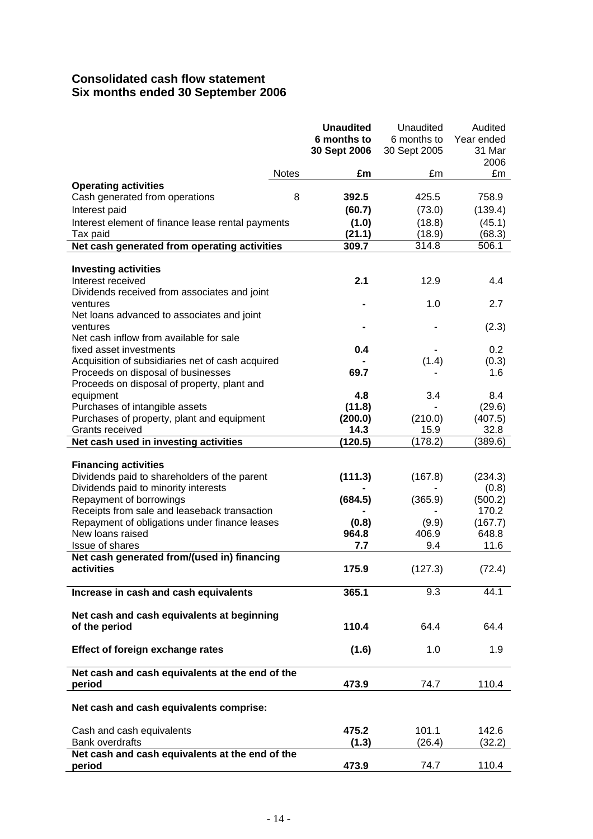# **Consolidated cash flow statement Six months ended 30 September 2006**

|                                                                         |              | <b>Unaudited</b><br>6 months to<br>30 Sept 2006 | Unaudited<br>6 months to<br>30 Sept 2005 | Audited<br>Year ended<br>31 Mar<br>2006 |
|-------------------------------------------------------------------------|--------------|-------------------------------------------------|------------------------------------------|-----------------------------------------|
|                                                                         | <b>Notes</b> | £m                                              | £m                                       | £m                                      |
| <b>Operating activities</b>                                             |              |                                                 |                                          |                                         |
| Cash generated from operations                                          | 8            | 392.5                                           | 425.5                                    | 758.9                                   |
| Interest paid                                                           |              | (60.7)                                          | (73.0)                                   | (139.4)                                 |
| Interest element of finance lease rental payments                       |              | (1.0)                                           | (18.8)                                   | (45.1)                                  |
| Tax paid                                                                |              | (21.1)                                          | (18.9)                                   | (68.3)                                  |
| Net cash generated from operating activities                            |              | 309.7                                           | 314.8                                    | 506.1                                   |
|                                                                         |              |                                                 |                                          |                                         |
| <b>Investing activities</b>                                             |              |                                                 |                                          |                                         |
| Interest received                                                       |              | 2.1                                             | 12.9                                     | 4.4                                     |
| Dividends received from associates and joint                            |              |                                                 | 1.0                                      | 2.7                                     |
| ventures<br>Net loans advanced to associates and joint                  |              |                                                 |                                          |                                         |
| ventures                                                                |              |                                                 |                                          | (2.3)                                   |
| Net cash inflow from available for sale                                 |              |                                                 |                                          |                                         |
| fixed asset investments                                                 |              | 0.4                                             |                                          | 0.2                                     |
| Acquisition of subsidiaries net of cash acquired                        |              |                                                 | (1.4)                                    | (0.3)                                   |
| Proceeds on disposal of businesses                                      |              | 69.7                                            |                                          | 1.6                                     |
| Proceeds on disposal of property, plant and                             |              |                                                 |                                          |                                         |
| equipment                                                               |              | 4.8                                             | 3.4                                      | 8.4                                     |
| Purchases of intangible assets                                          |              | (11.8)                                          | ۰                                        | (29.6)                                  |
| Purchases of property, plant and equipment                              |              | (200.0)                                         | (210.0)                                  | (407.5)                                 |
| Grants received                                                         |              | 14.3                                            | 15.9                                     | 32.8                                    |
| Net cash used in investing activities                                   |              | (120.5)                                         | (178.2)                                  | (389.6)                                 |
|                                                                         |              |                                                 |                                          |                                         |
| <b>Financing activities</b>                                             |              |                                                 |                                          |                                         |
| Dividends paid to shareholders of the parent                            |              | (111.3)                                         | (167.8)                                  | (234.3)                                 |
| Dividends paid to minority interests                                    |              |                                                 |                                          | (0.8)                                   |
| Repayment of borrowings<br>Receipts from sale and leaseback transaction |              | (684.5)                                         | (365.9)                                  | (500.2)<br>170.2                        |
| Repayment of obligations under finance leases                           |              | (0.8)                                           | (9.9)                                    | (167.7)                                 |
| New loans raised                                                        |              | 964.8                                           | 406.9                                    | 648.8                                   |
| Issue of shares                                                         |              | 7.7                                             | 9.4                                      | 11.6                                    |
| Net cash generated from/(used in) financing                             |              |                                                 |                                          |                                         |
| activities                                                              |              | 175.9                                           | (127.3)                                  | (72.4)                                  |
|                                                                         |              |                                                 |                                          |                                         |
| Increase in cash and cash equivalents                                   |              | 365.1                                           | 9.3                                      | 44.1                                    |
|                                                                         |              |                                                 |                                          |                                         |
| Net cash and cash equivalents at beginning                              |              |                                                 |                                          |                                         |
| of the period                                                           |              | 110.4                                           | 64.4                                     | 64.4                                    |
| Effect of foreign exchange rates                                        |              | (1.6)                                           | 1.0                                      | 1.9                                     |
|                                                                         |              |                                                 |                                          |                                         |
| Net cash and cash equivalents at the end of the                         |              |                                                 |                                          |                                         |
| period                                                                  |              | 473.9                                           | 74.7                                     | 110.4                                   |
|                                                                         |              |                                                 |                                          |                                         |
| Net cash and cash equivalents comprise:                                 |              |                                                 |                                          |                                         |
|                                                                         |              |                                                 |                                          |                                         |
| Cash and cash equivalents                                               |              | 475.2                                           | 101.1                                    | 142.6                                   |
| <b>Bank overdrafts</b>                                                  |              | (1.3)                                           | (26.4)                                   | (32.2)                                  |
| Net cash and cash equivalents at the end of the<br>period               |              | 473.9                                           | 74.7                                     | 110.4                                   |
|                                                                         |              |                                                 |                                          |                                         |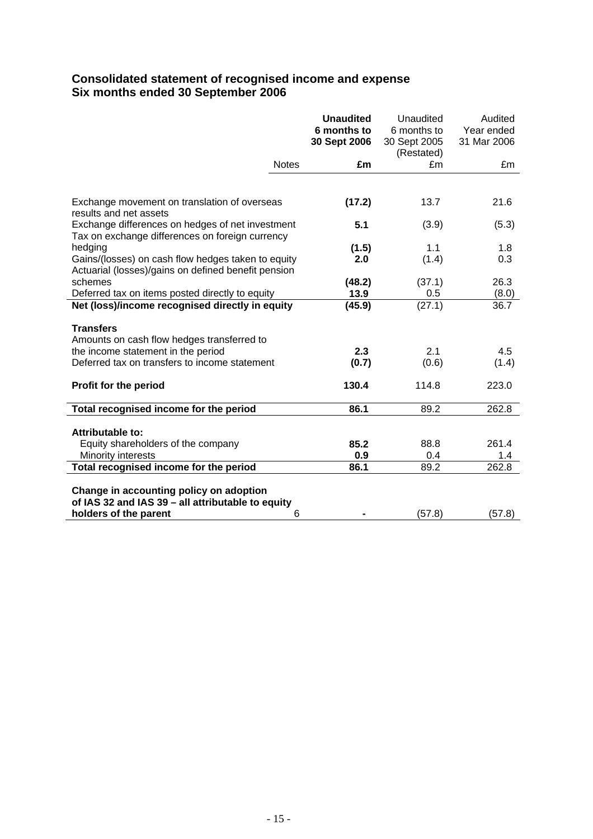# **Consolidated statement of recognised income and expense Six months ended 30 September 2006**

|                                                                                                     | <b>Unaudited</b><br>6 months to<br>30 Sept 2006 | Unaudited<br>6 months to<br>30 Sept 2005 | Audited<br>Year ended<br>31 Mar 2006 |
|-----------------------------------------------------------------------------------------------------|-------------------------------------------------|------------------------------------------|--------------------------------------|
|                                                                                                     |                                                 | (Restated)                               |                                      |
| <b>Notes</b>                                                                                        | £m                                              | £m                                       | £m                                   |
|                                                                                                     |                                                 |                                          |                                      |
| Exchange movement on translation of overseas<br>results and net assets                              | (17.2)                                          | 13.7                                     | 21.6                                 |
| Exchange differences on hedges of net investment<br>Tax on exchange differences on foreign currency | 5.1                                             | (3.9)                                    | (5.3)                                |
| hedging                                                                                             | (1.5)                                           | 1.1                                      | 1.8                                  |
| Gains/(losses) on cash flow hedges taken to equity                                                  | 2.0                                             | (1.4)                                    | 0.3                                  |
| Actuarial (losses)/gains on defined benefit pension                                                 |                                                 |                                          |                                      |
| schemes                                                                                             | (48.2)                                          | (37.1)                                   | 26.3                                 |
| Deferred tax on items posted directly to equity                                                     | 13.9                                            | 0.5                                      | (8.0)                                |
| Net (loss)/income recognised directly in equity                                                     | (45.9)                                          | (27.1)                                   | 36.7                                 |
| <b>Transfers</b>                                                                                    |                                                 |                                          |                                      |
| Amounts on cash flow hedges transferred to                                                          |                                                 |                                          |                                      |
| the income statement in the period                                                                  | 2.3                                             | 2.1                                      | 4.5                                  |
| Deferred tax on transfers to income statement                                                       | (0.7)                                           | (0.6)                                    | (1.4)                                |
| Profit for the period                                                                               | 130.4                                           | 114.8                                    | 223.0                                |
| Total recognised income for the period                                                              | 86.1                                            | 89.2                                     | 262.8                                |
|                                                                                                     |                                                 |                                          |                                      |
| Attributable to:                                                                                    |                                                 |                                          |                                      |
| Equity shareholders of the company                                                                  | 85.2                                            | 88.8                                     | 261.4                                |
| Minority interests                                                                                  | 0.9                                             | 0.4                                      | 1.4<br>262.8                         |
| Total recognised income for the period                                                              | 86.1                                            | 89.2                                     |                                      |
| Change in accounting policy on adoption                                                             |                                                 |                                          |                                      |
| of IAS 32 and IAS 39 - all attributable to equity                                                   |                                                 |                                          |                                      |
| holders of the parent<br>6                                                                          |                                                 | (57.8)                                   | (57.8)                               |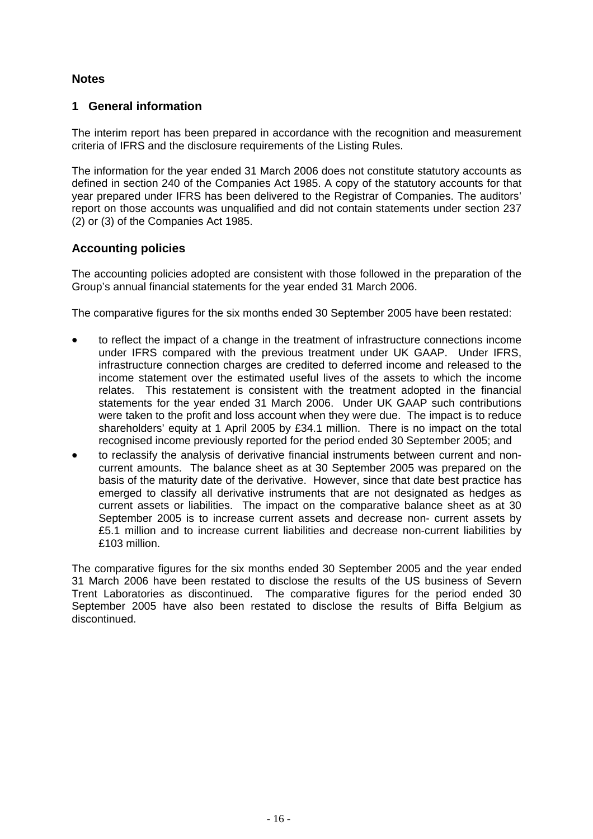# **Notes**

# **1 General information**

The interim report has been prepared in accordance with the recognition and measurement criteria of IFRS and the disclosure requirements of the Listing Rules.

The information for the year ended 31 March 2006 does not constitute statutory accounts as defined in section 240 of the Companies Act 1985. A copy of the statutory accounts for that year prepared under IFRS has been delivered to the Registrar of Companies. The auditors' report on those accounts was unqualified and did not contain statements under section 237 (2) or (3) of the Companies Act 1985.

# **Accounting policies**

The accounting policies adopted are consistent with those followed in the preparation of the Group's annual financial statements for the year ended 31 March 2006.

The comparative figures for the six months ended 30 September 2005 have been restated:

- to reflect the impact of a change in the treatment of infrastructure connections income under IFRS compared with the previous treatment under UK GAAP. Under IFRS, infrastructure connection charges are credited to deferred income and released to the income statement over the estimated useful lives of the assets to which the income relates. This restatement is consistent with the treatment adopted in the financial statements for the year ended 31 March 2006. Under UK GAAP such contributions were taken to the profit and loss account when they were due. The impact is to reduce shareholders' equity at 1 April 2005 by £34.1 million. There is no impact on the total recognised income previously reported for the period ended 30 September 2005; and
- to reclassify the analysis of derivative financial instruments between current and noncurrent amounts. The balance sheet as at 30 September 2005 was prepared on the basis of the maturity date of the derivative. However, since that date best practice has emerged to classify all derivative instruments that are not designated as hedges as current assets or liabilities. The impact on the comparative balance sheet as at 30 September 2005 is to increase current assets and decrease non- current assets by £5.1 million and to increase current liabilities and decrease non-current liabilities by £103 million.

The comparative figures for the six months ended 30 September 2005 and the year ended 31 March 2006 have been restated to disclose the results of the US business of Severn Trent Laboratories as discontinued. The comparative figures for the period ended 30 September 2005 have also been restated to disclose the results of Biffa Belgium as discontinued.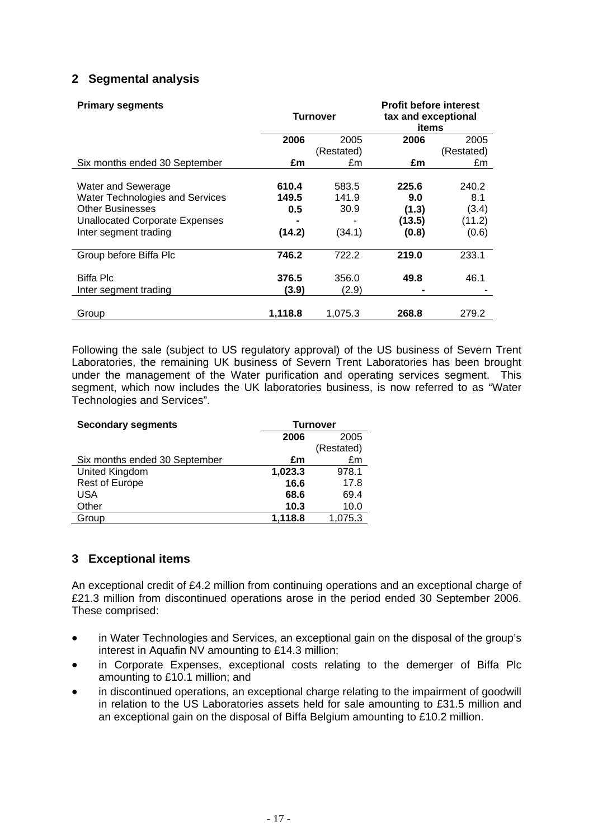# **2 Segmental analysis**

| <b>Primary segments</b>                | <b>Turnover</b> |            | <b>Profit before interest</b><br>tax and exceptional<br>items |            |  |
|----------------------------------------|-----------------|------------|---------------------------------------------------------------|------------|--|
|                                        | 2006            | 2005       | 2006                                                          | 2005       |  |
|                                        |                 | (Restated) |                                                               | (Restated) |  |
| Six months ended 30 September          | £m              | £m         | £m                                                            | £m         |  |
|                                        |                 |            |                                                               |            |  |
| Water and Sewerage                     | 610.4           | 583.5      | 225.6                                                         | 240.2      |  |
| <b>Water Technologies and Services</b> | 149.5           | 141.9      | 9.0                                                           | 8.1        |  |
| <b>Other Businesses</b>                | 0.5             | 30.9       | (1.3)                                                         | (3.4)      |  |
| <b>Unallocated Corporate Expenses</b>  |                 |            | (13.5)                                                        | (11.2)     |  |
| Inter segment trading                  | (14.2)          | (34.1)     | (0.8)                                                         | (0.6)      |  |
| Group before Biffa Plc                 | 746.2           | 722.2      | 219.0                                                         | 233.1      |  |
| Biffa Plc                              | 376.5           | 356.0      | 49.8                                                          | 46.1       |  |
| Inter segment trading                  | (3.9)           | (2.9)      |                                                               |            |  |
|                                        |                 |            |                                                               |            |  |
| Group                                  | 1.118.8         | 1.075.3    | 268.8                                                         | 279.2      |  |

Following the sale (subject to US regulatory approval) of the US business of Severn Trent Laboratories, the remaining UK business of Severn Trent Laboratories has been brought under the management of the Water purification and operating services segment. This segment, which now includes the UK laboratories business, is now referred to as "Water Technologies and Services".

| <b>Secondary segments</b>     | <b>Turnover</b> |            |  |
|-------------------------------|-----------------|------------|--|
|                               | 2006<br>2005    |            |  |
|                               |                 | (Restated) |  |
| Six months ended 30 September | £m              | £m         |  |
| United Kingdom                | 1,023.3         | 978.1      |  |
| <b>Rest of Europe</b>         | 16.6            | 17.8       |  |
| USA                           | 68.6            | 69.4       |  |
| Other                         | 10.3            | 10.0       |  |
| Group                         | 1,118.8         | 1,075.3    |  |

# **3 Exceptional items**

An exceptional credit of £4.2 million from continuing operations and an exceptional charge of £21.3 million from discontinued operations arose in the period ended 30 September 2006. These comprised:

- in Water Technologies and Services, an exceptional gain on the disposal of the group's interest in Aquafin NV amounting to £14.3 million;
- in Corporate Expenses, exceptional costs relating to the demerger of Biffa Plc amounting to £10.1 million; and
- in discontinued operations, an exceptional charge relating to the impairment of goodwill in relation to the US Laboratories assets held for sale amounting to £31.5 million and an exceptional gain on the disposal of Biffa Belgium amounting to £10.2 million.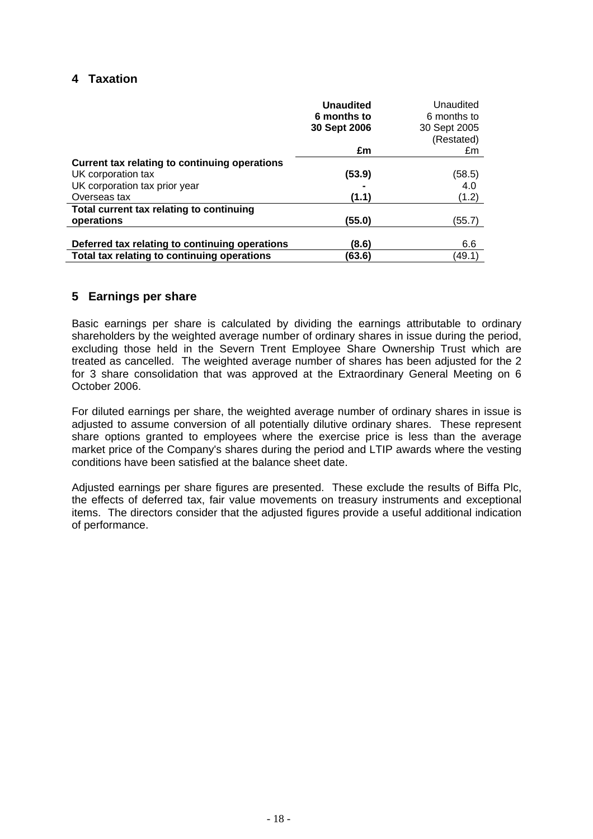# **4 Taxation**

|                                                | <b>Unaudited</b><br>6 months to<br>30 Sept 2006 | Unaudited<br>6 months to<br>30 Sept 2005<br>(Restated) |
|------------------------------------------------|-------------------------------------------------|--------------------------------------------------------|
|                                                | £m                                              | £m                                                     |
| Current tax relating to continuing operations  |                                                 |                                                        |
| UK corporation tax                             | (53.9)                                          | (58.5)                                                 |
| UK corporation tax prior year                  |                                                 | 4.0                                                    |
| Overseas tax                                   | (1.1)                                           | (1.2)                                                  |
| Total current tax relating to continuing       |                                                 |                                                        |
| operations                                     | (55.0)                                          | (55.7)                                                 |
|                                                |                                                 |                                                        |
| Deferred tax relating to continuing operations | (8.6)                                           | 6.6                                                    |
| Total tax relating to continuing operations    | (63.6)                                          | (49.1)                                                 |

# **5 Earnings per share**

Basic earnings per share is calculated by dividing the earnings attributable to ordinary shareholders by the weighted average number of ordinary shares in issue during the period, excluding those held in the Severn Trent Employee Share Ownership Trust which are treated as cancelled. The weighted average number of shares has been adjusted for the 2 for 3 share consolidation that was approved at the Extraordinary General Meeting on 6 October 2006.

For diluted earnings per share, the weighted average number of ordinary shares in issue is adjusted to assume conversion of all potentially dilutive ordinary shares. These represent share options granted to employees where the exercise price is less than the average market price of the Company's shares during the period and LTIP awards where the vesting conditions have been satisfied at the balance sheet date.

Adjusted earnings per share figures are presented. These exclude the results of Biffa Plc, the effects of deferred tax, fair value movements on treasury instruments and exceptional items. The directors consider that the adjusted figures provide a useful additional indication of performance.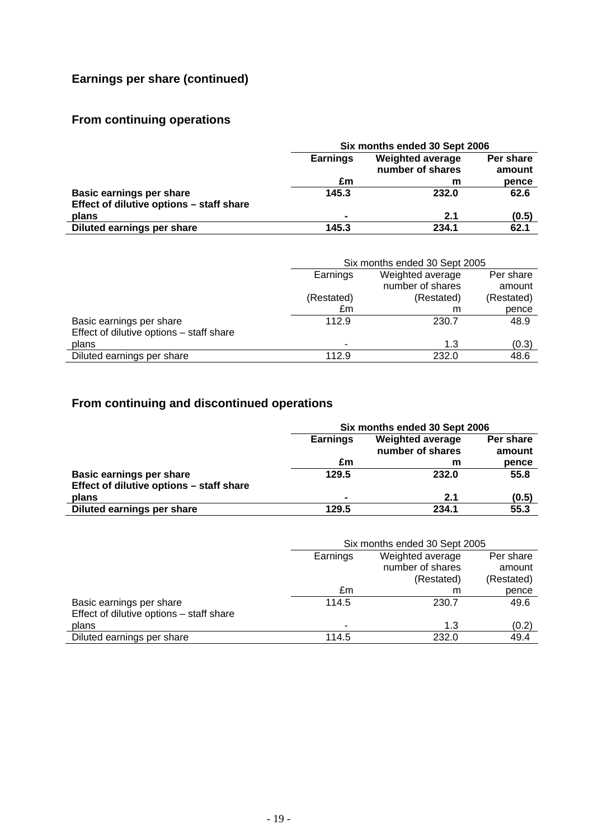# **Earnings per share (continued)**

# **From continuing operations**

|                                          | Six months ended 30 Sept 2006 |                     |       |  |
|------------------------------------------|-------------------------------|---------------------|-------|--|
|                                          | <b>Earnings</b>               | Per share<br>amount |       |  |
|                                          | £m                            | m                   | pence |  |
| <b>Basic earnings per share</b>          | 145.3                         | 232.0               | 62.6  |  |
| Effect of dilutive options - staff share |                               |                     |       |  |
| plans                                    | $\blacksquare$                | 2.1                 | (0.5) |  |
| Diluted earnings per share               | 145.3                         | 234.1               | 62.1  |  |

|                                          | Six months ended 30 Sept 2005             |                  |            |  |
|------------------------------------------|-------------------------------------------|------------------|------------|--|
|                                          | Weighted average<br>Per share<br>Earnings |                  |            |  |
|                                          |                                           | number of shares | amount     |  |
|                                          | (Restated)                                | (Restated)       | (Restated) |  |
|                                          | £m                                        | m                | pence      |  |
| Basic earnings per share                 | 112.9                                     | 230.7            | 48.9       |  |
| Effect of dilutive options - staff share |                                           |                  |            |  |
| plans                                    |                                           | 1.3              | (0.3)      |  |
| Diluted earnings per share               | 112.9                                     | 232.0            | 48.6       |  |

# **From continuing and discontinued operations**

|                                          | Six months ended 30 Sept 2006                           |                  |        |  |
|------------------------------------------|---------------------------------------------------------|------------------|--------|--|
|                                          | <b>Weighted average</b><br>Per share<br><b>Earnings</b> |                  |        |  |
|                                          |                                                         | number of shares | amount |  |
|                                          | £m                                                      | m                | pence  |  |
| Basic earnings per share                 | 129.5                                                   | 232.0            | 55.8   |  |
| Effect of dilutive options - staff share |                                                         |                  |        |  |
| plans                                    | $\blacksquare$                                          | 2.1              | (0.5)  |  |
| Diluted earnings per share               | 129.5                                                   | 234.1            | 55.3   |  |

|                                          | Six months ended 30 Sept 2005 |                  |            |  |
|------------------------------------------|-------------------------------|------------------|------------|--|
|                                          | Earnings                      | Per share        |            |  |
|                                          |                               | number of shares | amount     |  |
|                                          |                               | (Restated)       | (Restated) |  |
|                                          | £m                            | m                | pence      |  |
| Basic earnings per share                 | 114.5                         | 230.7            | 49.6       |  |
| Effect of dilutive options - staff share |                               |                  |            |  |
| plans                                    | ۰                             | 1.3              | (0.2)      |  |
| Diluted earnings per share               | 114.5                         | 232.0            | 49.4       |  |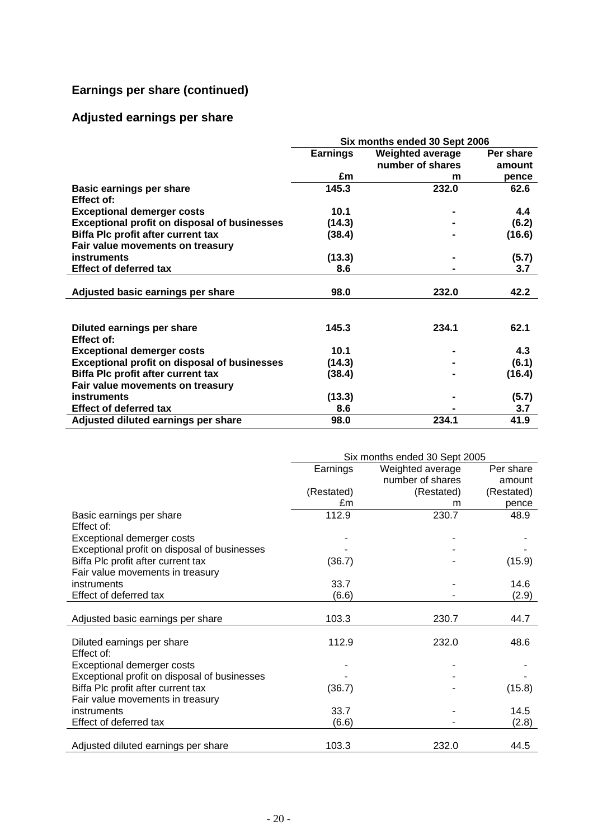# **Earnings per share (continued)**

# **Adjusted earnings per share**

|                                                     | Six months ended 30 Sept 2006              |                  |           |  |
|-----------------------------------------------------|--------------------------------------------|------------------|-----------|--|
|                                                     | <b>Earnings</b><br><b>Weighted average</b> |                  | Per share |  |
|                                                     |                                            | number of shares | amount    |  |
|                                                     | £m                                         | m                | pence     |  |
| <b>Basic earnings per share</b>                     | 145.3                                      | 232.0            | 62.6      |  |
| Effect of:                                          |                                            |                  |           |  |
| <b>Exceptional demerger costs</b>                   | 10.1                                       |                  | 4.4       |  |
| <b>Exceptional profit on disposal of businesses</b> | (14.3)                                     |                  | (6.2)     |  |
| Biffa Plc profit after current tax                  | (38.4)                                     |                  | (16.6)    |  |
| Fair value movements on treasury                    |                                            |                  |           |  |
| instruments                                         | (13.3)                                     |                  | (5.7)     |  |
| <b>Effect of deferred tax</b>                       | 8.6                                        |                  | 3.7       |  |
|                                                     |                                            |                  |           |  |
| Adjusted basic earnings per share                   | 98.0                                       | 232.0            | 42.2      |  |
|                                                     |                                            |                  |           |  |
|                                                     |                                            |                  |           |  |
| Diluted earnings per share                          | 145.3                                      | 234.1            | 62.1      |  |
| Effect of:                                          |                                            |                  |           |  |
| <b>Exceptional demerger costs</b>                   | 10.1                                       |                  | 4.3       |  |
| <b>Exceptional profit on disposal of businesses</b> | (14.3)                                     |                  | (6.1)     |  |
| <b>Biffa Plc profit after current tax</b>           | (38.4)                                     |                  | (16.4)    |  |
| Fair value movements on treasury                    |                                            |                  |           |  |
| instruments                                         | (13.3)                                     |                  | (5.7)     |  |
| <b>Effect of deferred tax</b>                       | 8.6                                        |                  | 3.7       |  |
| Adjusted diluted earnings per share                 | 98.0                                       | 234.1            | 41.9      |  |

|                                              | Six months ended 30 Sept 2005 |                  |            |  |
|----------------------------------------------|-------------------------------|------------------|------------|--|
|                                              | Earnings                      | Weighted average | Per share  |  |
|                                              |                               | number of shares | amount     |  |
|                                              | (Restated)                    | (Restated)       | (Restated) |  |
|                                              | £m                            | m                | pence      |  |
| Basic earnings per share                     | 112.9                         | 230.7            | 48.9       |  |
| Effect of:                                   |                               |                  |            |  |
| Exceptional demerger costs                   |                               |                  |            |  |
| Exceptional profit on disposal of businesses |                               |                  |            |  |
| Biffa Plc profit after current tax           | (36.7)                        |                  | (15.9)     |  |
| Fair value movements in treasury             |                               |                  |            |  |
| <i>instruments</i>                           | 33.7                          |                  | 14.6       |  |
| Effect of deferred tax                       | (6.6)                         |                  | (2.9)      |  |
|                                              |                               |                  |            |  |
| Adjusted basic earnings per share            | 103.3                         | 230.7            | 44.7       |  |
|                                              |                               |                  |            |  |
| Diluted earnings per share                   | 112.9                         | 232.0            | 48.6       |  |
| Effect of:                                   |                               |                  |            |  |
| Exceptional demerger costs                   |                               |                  |            |  |
| Exceptional profit on disposal of businesses |                               |                  |            |  |
| Biffa Plc profit after current tax           | (36.7)                        |                  | (15.8)     |  |
| Fair value movements in treasury             |                               |                  |            |  |
| instruments                                  | 33.7                          |                  | 14.5       |  |
| Effect of deferred tax                       | (6.6)                         |                  | (2.8)      |  |
|                                              |                               |                  |            |  |
| Adjusted diluted earnings per share          | 103.3                         | 232.0            | 44.5       |  |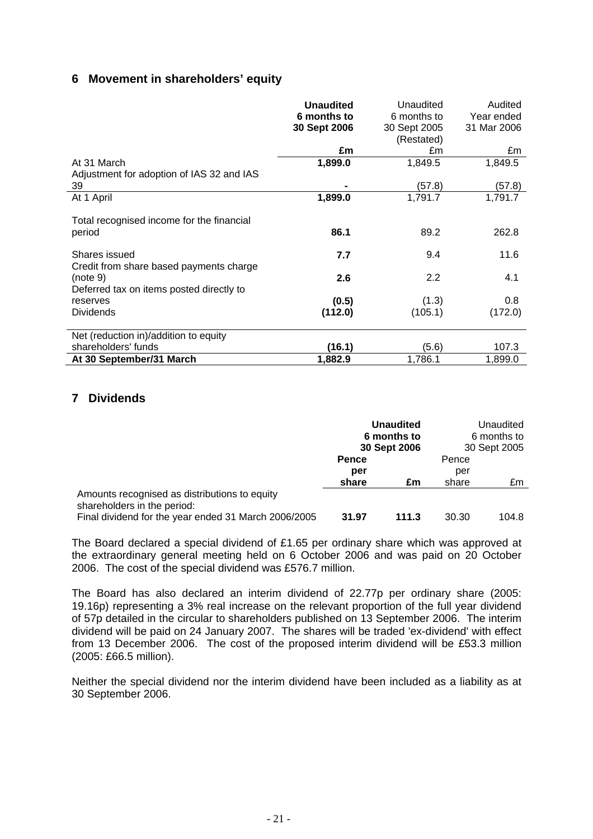# **6 Movement in shareholders' equity**

|                                                          | <b>Unaudited</b><br>6 months to<br>30 Sept 2006 | Unaudited<br>6 months to<br>30 Sept 2005 | Audited<br>Year ended<br>31 Mar 2006 |
|----------------------------------------------------------|-------------------------------------------------|------------------------------------------|--------------------------------------|
|                                                          | £m                                              | (Restated)<br>£m                         | £m                                   |
| At 31 March<br>Adjustment for adoption of IAS 32 and IAS | 1,899.0                                         | 1,849.5                                  | 1,849.5                              |
| 39                                                       |                                                 | (57.8)                                   | (57.8)                               |
| At 1 April                                               | 1,899.0                                         | 1,791.7                                  | 1,791.7                              |
| Total recognised income for the financial<br>period      | 86.1                                            | 89.2                                     | 262.8                                |
| Shares issued<br>Credit from share based payments charge | 7.7                                             | 9.4                                      | 11.6                                 |
| (note 9)<br>Deferred tax on items posted directly to     | 2.6                                             | 2.2                                      | 4.1                                  |
| reserves                                                 | (0.5)                                           | (1.3)                                    | 0.8                                  |
| <b>Dividends</b>                                         | (112.0)                                         | (105.1)                                  | (172.0)                              |
| Net (reduction in)/addition to equity                    |                                                 |                                          |                                      |
| shareholders' funds                                      | (16.1)                                          | (5.6)                                    | 107.3                                |
| At 30 September/31 March                                 | 1,882.9                                         | 1,786.1                                  | 1,899.0                              |

# **7 Dividends**

|                                                                              | <b>Unaudited</b><br>6 months to<br>30 Sept 2006 |       | Unaudited<br>6 months to<br>30 Sept 2005 |       |
|------------------------------------------------------------------------------|-------------------------------------------------|-------|------------------------------------------|-------|
|                                                                              | <b>Pence</b>                                    |       | Pence                                    |       |
|                                                                              | per                                             |       | per                                      |       |
|                                                                              | share                                           | £m    | share                                    | £m    |
| Amounts recognised as distributions to equity<br>shareholders in the period: |                                                 |       |                                          |       |
| Final dividend for the year ended 31 March 2006/2005                         | 31.97                                           | 111.3 | 30.30                                    | 104.8 |

The Board declared a special dividend of £1.65 per ordinary share which was approved at the extraordinary general meeting held on 6 October 2006 and was paid on 20 October 2006. The cost of the special dividend was £576.7 million.

The Board has also declared an interim dividend of 22.77p per ordinary share (2005: 19.16p) representing a 3% real increase on the relevant proportion of the full year dividend of 57p detailed in the circular to shareholders published on 13 September 2006. The interim dividend will be paid on 24 January 2007. The shares will be traded 'ex-dividend' with effect from 13 December 2006. The cost of the proposed interim dividend will be £53.3 million (2005: £66.5 million).

Neither the special dividend nor the interim dividend have been included as a liability as at 30 September 2006.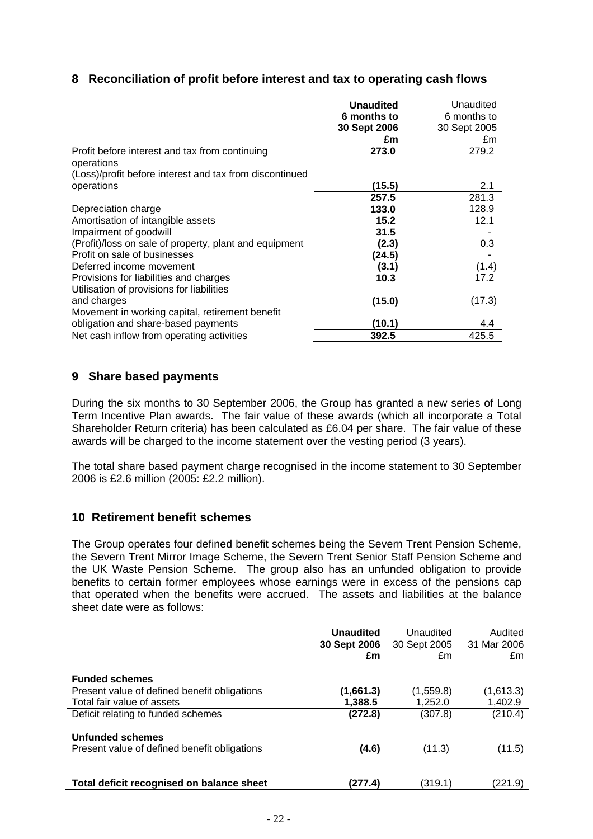# **8 Reconciliation of profit before interest and tax to operating cash flows**

|                                                                                     | <b>Unaudited</b> | Unaudited    |
|-------------------------------------------------------------------------------------|------------------|--------------|
|                                                                                     | 6 months to      | 6 months to  |
|                                                                                     | 30 Sept 2006     | 30 Sept 2005 |
|                                                                                     | £m               | £m           |
| Profit before interest and tax from continuing<br>operations                        | 273.0            | 279.2        |
| (Loss)/profit before interest and tax from discontinued                             |                  |              |
| operations                                                                          | (15.5)           | 2.1          |
|                                                                                     | 257.5            | 281.3        |
| Depreciation charge                                                                 | 133.0            | 128.9        |
| Amortisation of intangible assets                                                   | 15.2             | 12.1         |
| Impairment of goodwill                                                              | 31.5             |              |
| (Profit)/loss on sale of property, plant and equipment                              | (2.3)            | 0.3          |
| Profit on sale of businesses                                                        | (24.5)           |              |
| Deferred income movement                                                            | (3.1)            | (1.4)        |
| Provisions for liabilities and charges<br>Utilisation of provisions for liabilities | 10.3             | 17.2         |
| and charges                                                                         | (15.0)           | (17.3)       |
| Movement in working capital, retirement benefit                                     |                  |              |
| obligation and share-based payments                                                 | (10.1)           | 4.4          |
| Net cash inflow from operating activities                                           | 392.5            | 425.5        |

# **9 Share based payments**

During the six months to 30 September 2006, the Group has granted a new series of Long Term Incentive Plan awards. The fair value of these awards (which all incorporate a Total Shareholder Return criteria) has been calculated as £6.04 per share. The fair value of these awards will be charged to the income statement over the vesting period (3 years).

The total share based payment charge recognised in the income statement to 30 September 2006 is £2.6 million (2005: £2.2 million).

#### **10 Retirement benefit schemes**

The Group operates four defined benefit schemes being the Severn Trent Pension Scheme, the Severn Trent Mirror Image Scheme, the Severn Trent Senior Staff Pension Scheme and the UK Waste Pension Scheme. The group also has an unfunded obligation to provide benefits to certain former employees whose earnings were in excess of the pensions cap that operated when the benefits were accrued. The assets and liabilities at the balance sheet date were as follows:

|                                                                         | <b>Unaudited</b><br>30 Sept 2006<br>£m | Unaudited<br>30 Sept 2005<br>£m | Audited<br>31 Mar 2006<br>£m |
|-------------------------------------------------------------------------|----------------------------------------|---------------------------------|------------------------------|
| <b>Funded schemes</b>                                                   |                                        |                                 |                              |
| Present value of defined benefit obligations                            | (1,661.3)                              | (1,559.8)                       | (1,613.3)                    |
| Total fair value of assets                                              | 1.388.5                                | 1.252.0                         | 1,402.9                      |
| Deficit relating to funded schemes                                      | (272.8)                                | (307.8)                         | (210.4)                      |
| <b>Unfunded schemes</b><br>Present value of defined benefit obligations | (4.6)                                  | (11.3)                          | (11.5)                       |
| Total deficit recognised on balance sheet                               | (277.4)                                | (319.1)                         | (221.9)                      |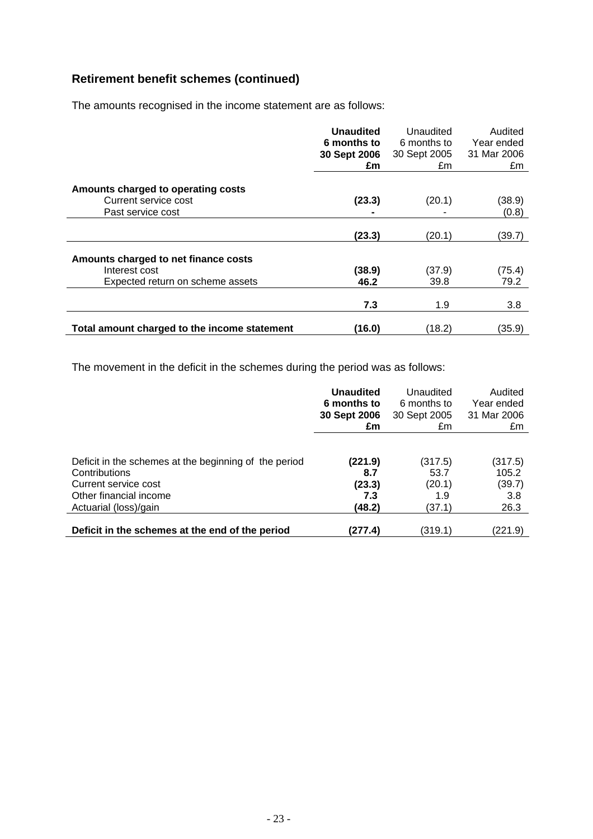# **Retirement benefit schemes (continued)**

The amounts recognised in the income statement are as follows:

|                                              | <b>Unaudited</b><br>6 months to<br>30 Sept 2006<br>£m | Unaudited<br>6 months to<br>30 Sept 2005<br>£m | Audited<br>Year ended<br>31 Mar 2006<br>£m |
|----------------------------------------------|-------------------------------------------------------|------------------------------------------------|--------------------------------------------|
| Amounts charged to operating costs           |                                                       |                                                |                                            |
| Current service cost                         | (23.3)                                                | (20.1)                                         | (38.9)                                     |
| Past service cost                            |                                                       |                                                | (0.8)                                      |
|                                              | (23.3)                                                | (20.1)                                         | (39.7)                                     |
| Amounts charged to net finance costs         |                                                       |                                                |                                            |
| Interest cost                                | (38.9)                                                | (37.9)                                         | (75.4)                                     |
| Expected return on scheme assets             | 46.2                                                  | 39.8                                           | 79.2                                       |
|                                              | 7.3                                                   | 1.9                                            | 3.8                                        |
| Total amount charged to the income statement | (16.0)                                                | (18.2)                                         | (35.9)                                     |

The movement in the deficit in the schemes during the period was as follows:

|                                                       | <b>Unaudited</b><br>6 months to<br>30 Sept 2006 | Unaudited<br>6 months to<br>30 Sept 2005 | Audited<br>Year ended<br>31 Mar 2006 |
|-------------------------------------------------------|-------------------------------------------------|------------------------------------------|--------------------------------------|
|                                                       | £m                                              | £m                                       | £m                                   |
|                                                       |                                                 |                                          |                                      |
| Deficit in the schemes at the beginning of the period | (221.9)                                         | (317.5)                                  | (317.5)                              |
| Contributions                                         | 8.7                                             | 53.7                                     | 105.2                                |
| Current service cost                                  | (23.3)                                          | (20.1)                                   | (39.7)                               |
| Other financial income                                | 7.3                                             | 1.9                                      | 3.8                                  |
| Actuarial (loss)/gain                                 | (48.2)                                          | (37.1)                                   | 26.3                                 |
|                                                       |                                                 |                                          |                                      |
| Deficit in the schemes at the end of the period       | (277.4)                                         | (319.1)                                  | (221.9)                              |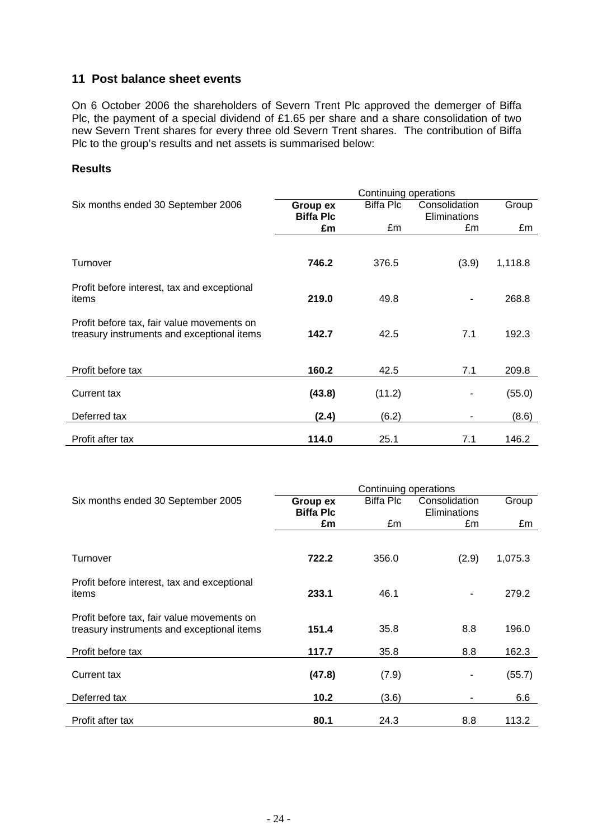# **11 Post balance sheet events**

On 6 October 2006 the shareholders of Severn Trent Plc approved the demerger of Biffa Plc, the payment of a special dividend of £1.65 per share and a share consolidation of two new Severn Trent shares for every three old Severn Trent shares. The contribution of Biffa Plc to the group's results and net assets is summarised below:

#### **Results**

|                                                                                          | Continuing operations |           |               |         |  |
|------------------------------------------------------------------------------------------|-----------------------|-----------|---------------|---------|--|
| Six months ended 30 September 2006                                                       | Group ex              | Biffa Plc | Consolidation | Group   |  |
|                                                                                          | <b>Biffa Plc</b>      |           | Eliminations  |         |  |
|                                                                                          | £m                    | £m        | £m            | £m      |  |
|                                                                                          |                       |           |               |         |  |
| Turnover                                                                                 | 746.2                 | 376.5     | (3.9)         | 1,118.8 |  |
| Profit before interest, tax and exceptional<br>items                                     | 219.0                 | 49.8      |               | 268.8   |  |
| Profit before tax, fair value movements on<br>treasury instruments and exceptional items | 142.7                 | 42.5      | 7.1           | 192.3   |  |
| Profit before tax                                                                        | 160.2                 | 42.5      | 7.1           | 209.8   |  |
| <b>Current tax</b>                                                                       | (43.8)                | (11.2)    |               | (55.0)  |  |
| Deferred tax                                                                             | (2.4)                 | (6.2)     |               | (8.6)   |  |
| Profit after tax                                                                         | 114.0                 | 25.1      | 7.1           | 146.2   |  |

|                                                                                          | Continuing operations |                  |               |         |  |
|------------------------------------------------------------------------------------------|-----------------------|------------------|---------------|---------|--|
| Six months ended 30 September 2005                                                       | Group ex              | <b>Biffa Plc</b> | Consolidation | Group   |  |
|                                                                                          | <b>Biffa Plc</b>      |                  | Eliminations  |         |  |
|                                                                                          | £m                    | £m               | £m            | £m      |  |
|                                                                                          |                       |                  |               |         |  |
| Turnover                                                                                 | 722.2                 | 356.0            | (2.9)         | 1,075.3 |  |
| Profit before interest, tax and exceptional<br>items                                     | 233.1                 | 46.1             |               | 279.2   |  |
| Profit before tax, fair value movements on<br>treasury instruments and exceptional items | 151.4                 | 35.8             | 8.8           | 196.0   |  |
| Profit before tax                                                                        | 117.7                 | 35.8             | 8.8           | 162.3   |  |
| Current tax                                                                              | (47.8)                | (7.9)            |               | (55.7)  |  |
| Deferred tax                                                                             | 10.2                  | (3.6)            |               | 6.6     |  |
| Profit after tax                                                                         | 80.1                  | 24.3             | 8.8           | 113.2   |  |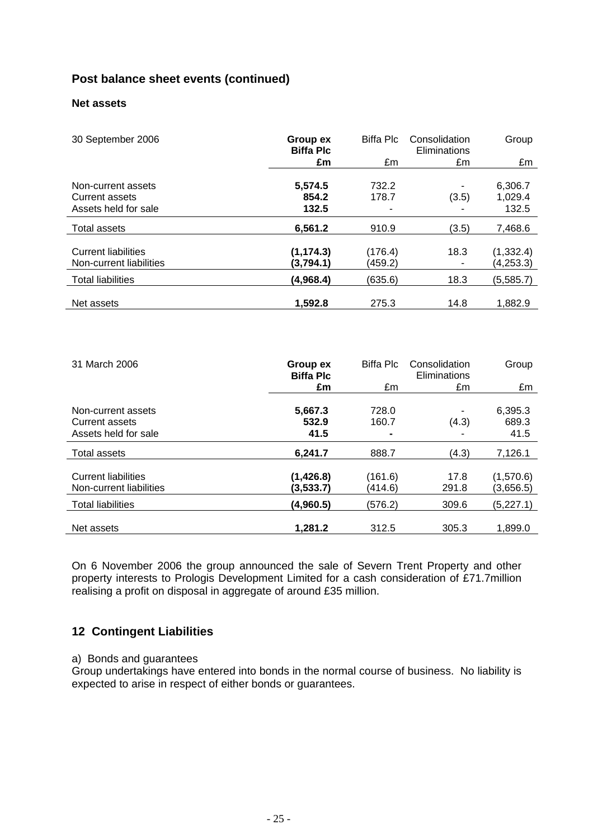# **Post balance sheet events (continued)**

# **Net assets**

| 30 September 2006                                            | Group ex<br><b>Biffa Plc</b> | Biffa Plc          | Consolidation<br>Eliminations | Group                       |
|--------------------------------------------------------------|------------------------------|--------------------|-------------------------------|-----------------------------|
|                                                              | £m                           | £m                 | £m                            | £m                          |
| Non-current assets<br>Current assets<br>Assets held for sale | 5,574.5<br>854.2<br>132.5    | 732.2<br>178.7     | ٠<br>(3.5)                    | 6,306.7<br>1,029.4<br>132.5 |
| Total assets                                                 | 6,561.2                      | 910.9              | (3.5)                         | 7,468.6                     |
| <b>Current liabilities</b><br>Non-current liabilities        | (1, 174.3)<br>(3,794.1)      | (176.4)<br>(459.2) | 18.3<br>٠                     | (1, 332.4)<br>(4, 253.3)    |
| <b>Total liabilities</b>                                     | (4,968.4)                    | (635.6)            | 18.3                          | (5,585.7)                   |
| Net assets                                                   | 1,592.8                      | 275.3              | 14.8                          | 1,882.9                     |

| 31 March 2006                                         | Group ex<br><b>Biffa Plc</b> | <b>Biffa Plc</b>   | Consolidation<br>Eliminations | Group                  |
|-------------------------------------------------------|------------------------------|--------------------|-------------------------------|------------------------|
|                                                       | £m                           | £m                 | £m                            | £m                     |
| Non-current assets                                    | 5,667.3                      | 728.0              | ٠                             | 6,395.3                |
| Current assets                                        | 532.9                        | 160.7              | (4.3)                         | 689.3                  |
| Assets held for sale                                  | 41.5                         |                    |                               | 41.5                   |
| Total assets                                          | 6,241.7                      | 888.7              | (4.3)                         | 7,126.1                |
| <b>Current liabilities</b><br>Non-current liabilities | (1, 426.8)<br>(3,533.7)      | (161.6)<br>(414.6) | 17.8<br>291.8                 | (1,570.6)<br>(3,656.5) |
| <b>Total liabilities</b>                              | (4,960.5)                    | (576.2)            | 309.6                         | (5,227.1)              |
| Net assets                                            | 1,281.2                      | 312.5              | 305.3                         | 1,899.0                |

On 6 November 2006 the group announced the sale of Severn Trent Property and other property interests to Prologis Development Limited for a cash consideration of £71.7million realising a profit on disposal in aggregate of around £35 million.

# **12 Contingent Liabilities**

#### a) Bonds and guarantees

Group undertakings have entered into bonds in the normal course of business. No liability is expected to arise in respect of either bonds or guarantees.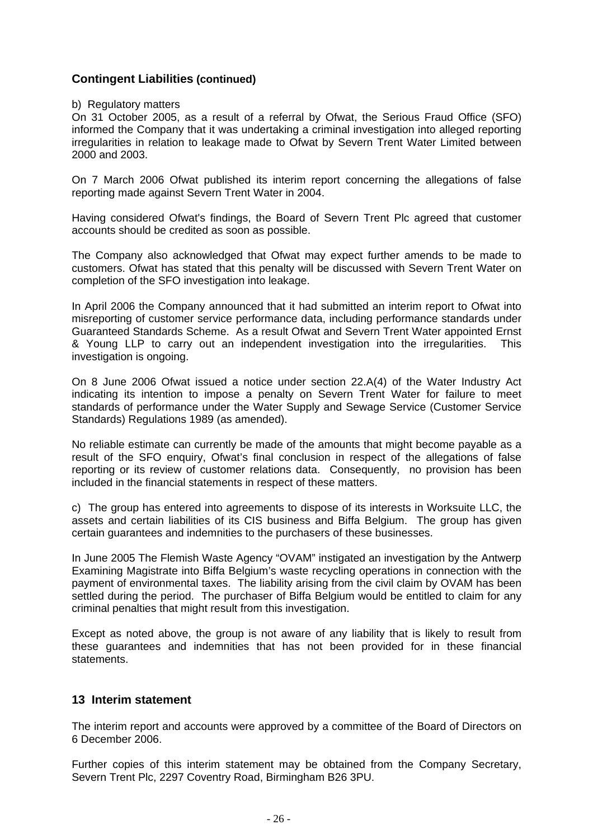# **Contingent Liabilities (continued)**

b) Regulatory matters

On 31 October 2005, as a result of a referral by Ofwat, the Serious Fraud Office (SFO) informed the Company that it was undertaking a criminal investigation into alleged reporting irregularities in relation to leakage made to Ofwat by Severn Trent Water Limited between 2000 and 2003.

On 7 March 2006 Ofwat published its interim report concerning the allegations of false reporting made against Severn Trent Water in 2004.

Having considered Ofwat's findings, the Board of Severn Trent Plc agreed that customer accounts should be credited as soon as possible.

The Company also acknowledged that Ofwat may expect further amends to be made to customers. Ofwat has stated that this penalty will be discussed with Severn Trent Water on completion of the SFO investigation into leakage.

In April 2006 the Company announced that it had submitted an interim report to Ofwat into misreporting of customer service performance data, including performance standards under Guaranteed Standards Scheme. As a result Ofwat and Severn Trent Water appointed Ernst & Young LLP to carry out an independent investigation into the irregularities. This investigation is ongoing.

On 8 June 2006 Ofwat issued a notice under section 22.A(4) of the Water Industry Act indicating its intention to impose a penalty on Severn Trent Water for failure to meet standards of performance under the Water Supply and Sewage Service (Customer Service Standards) Regulations 1989 (as amended).

No reliable estimate can currently be made of the amounts that might become payable as a result of the SFO enquiry, Ofwat's final conclusion in respect of the allegations of false reporting or its review of customer relations data. Consequently, no provision has been included in the financial statements in respect of these matters.

c) The group has entered into agreements to dispose of its interests in Worksuite LLC, the assets and certain liabilities of its CIS business and Biffa Belgium. The group has given certain guarantees and indemnities to the purchasers of these businesses.

In June 2005 The Flemish Waste Agency "OVAM" instigated an investigation by the Antwerp Examining Magistrate into Biffa Belgium's waste recycling operations in connection with the payment of environmental taxes. The liability arising from the civil claim by OVAM has been settled during the period. The purchaser of Biffa Belgium would be entitled to claim for any criminal penalties that might result from this investigation.

Except as noted above, the group is not aware of any liability that is likely to result from these guarantees and indemnities that has not been provided for in these financial statements.

## **13 Interim statement**

The interim report and accounts were approved by a committee of the Board of Directors on 6 December 2006.

Further copies of this interim statement may be obtained from the Company Secretary, Severn Trent Plc, 2297 Coventry Road, Birmingham B26 3PU.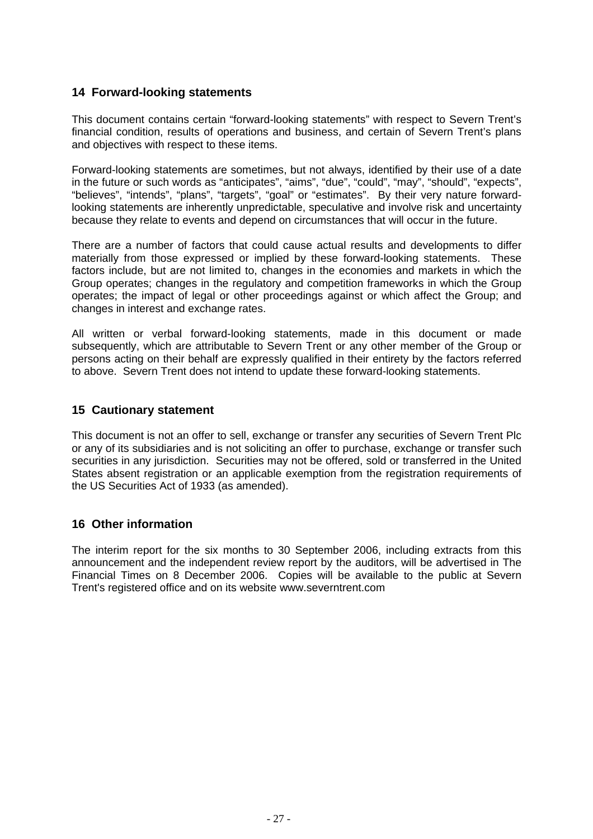# **14 Forward-looking statements**

This document contains certain "forward-looking statements" with respect to Severn Trent's financial condition, results of operations and business, and certain of Severn Trent's plans and objectives with respect to these items.

Forward-looking statements are sometimes, but not always, identified by their use of a date in the future or such words as "anticipates", "aims", "due", "could", "may", "should", "expects", "believes", "intends", "plans", "targets", "goal" or "estimates". By their very nature forwardlooking statements are inherently unpredictable, speculative and involve risk and uncertainty because they relate to events and depend on circumstances that will occur in the future.

There are a number of factors that could cause actual results and developments to differ materially from those expressed or implied by these forward-looking statements. These factors include, but are not limited to, changes in the economies and markets in which the Group operates; changes in the regulatory and competition frameworks in which the Group operates; the impact of legal or other proceedings against or which affect the Group; and changes in interest and exchange rates.

All written or verbal forward-looking statements, made in this document or made subsequently, which are attributable to Severn Trent or any other member of the Group or persons acting on their behalf are expressly qualified in their entirety by the factors referred to above. Severn Trent does not intend to update these forward-looking statements.

# **15 Cautionary statement**

This document is not an offer to sell, exchange or transfer any securities of Severn Trent Plc or any of its subsidiaries and is not soliciting an offer to purchase, exchange or transfer such securities in any jurisdiction. Securities may not be offered, sold or transferred in the United States absent registration or an applicable exemption from the registration requirements of the US Securities Act of 1933 (as amended).

# **16 Other information**

The interim report for the six months to 30 September 2006, including extracts from this announcement and the independent review report by the auditors, will be advertised in The Financial Times on 8 December 2006. Copies will be available to the public at Severn Trent's registered office and on its website www.severntrent.com